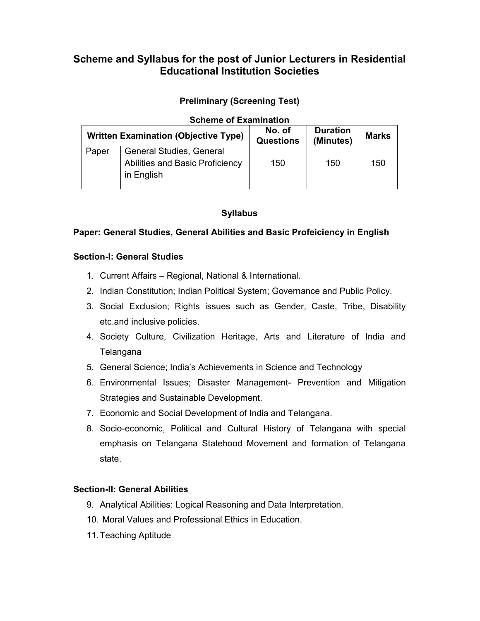## **Scheme and Syllabus for the post of Junior Lecturers in Residential Educational Institution Societies**

## **Preliminary (Screening Test)**

| <b>Scheme of Examination</b> |                                                                                  |                            |                              |              |  |  |  |
|------------------------------|----------------------------------------------------------------------------------|----------------------------|------------------------------|--------------|--|--|--|
|                              | <b>Written Examination (Objective Type)</b>                                      | No. of<br><b>Questions</b> | <b>Duration</b><br>(Minutes) | <b>Marks</b> |  |  |  |
| Paper                        | <b>General Studies, General</b><br>Abilities and Basic Proficiency<br>in English | 150                        | 150                          | 150          |  |  |  |

## **Syllabus**

## **Paper: General Studies, General Abilities and Basic Profeiciency in English**

### **Section-I: General Studies**

- 1. Current Affairs Regional, National & International.
- 2. Indian Constitution; Indian Political System; Governance and Public Policy.
- 3. Social Exclusion; Rights issues such as Gender, Caste, Tribe, Disability etc.and inclusive policies.
- 4. Society Culture, Civilization Heritage, Arts and Literature of India and Telangana
- 5. General Science; India's Achievements in Science and Technology
- 6. Environmental Issues; Disaster Management- Prevention and Mitigation Strategies and Sustainable Development.
- 7. Economic and Social Development of India and Telangana.
- 8. Socio-economic, Political and Cultural History of Telangana with special emphasis on Telangana Statehood Movement and formation of Telangana state.

### **Section-II: General Abilities**

- 9. Analytical Abilities: Logical Reasoning and Data Interpretation.
- 10. Moral Values and Professional Ethics in Education.
- 11. Teaching Aptitude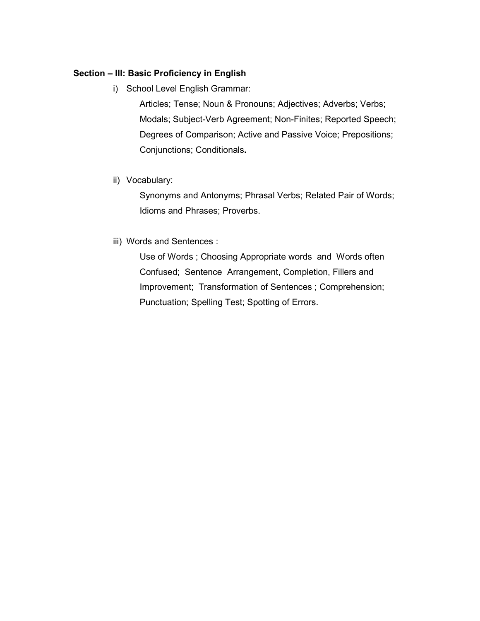## **Section – III: Basic Proficiency in English**

i) School Level English Grammar:

Articles; Tense; Noun & Pronouns; Adjectives; Adverbs; Verbs; Modals; Subject-Verb Agreement; Non-Finites; Reported Speech; Degrees of Comparison; Active and Passive Voice; Prepositions; Conjunctions; Conditionals**.** 

ii) Vocabulary:

Synonyms and Antonyms; Phrasal Verbs; Related Pair of Words; Idioms and Phrases; Proverbs.

iii) Words and Sentences :

Use of Words ; Choosing Appropriate words and Words often Confused; Sentence Arrangement, Completion, Fillers and Improvement; Transformation of Sentences ; Comprehension; Punctuation; Spelling Test; Spotting of Errors.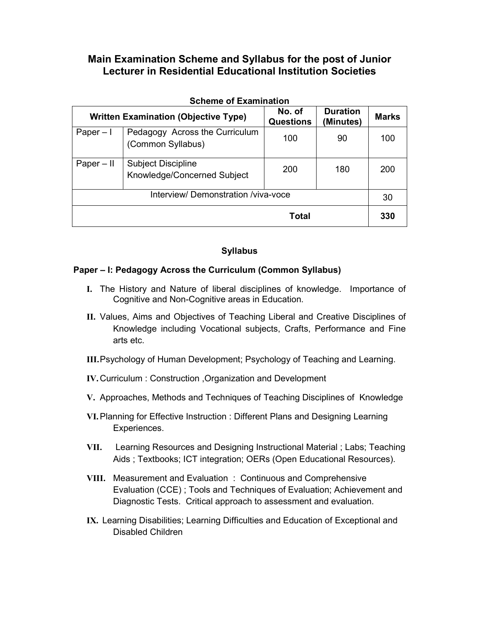| <b>Scheme of Examination</b>                |                                                          |                            |                              |              |  |  |
|---------------------------------------------|----------------------------------------------------------|----------------------------|------------------------------|--------------|--|--|
| <b>Written Examination (Objective Type)</b> |                                                          | No. of<br><b>Questions</b> | <b>Duration</b><br>(Minutes) | <b>Marks</b> |  |  |
| Paper $-1$                                  | Pedagogy Across the Curriculum<br>(Common Syllabus)      | 100                        | 90                           | 100          |  |  |
| $Paper - II$                                | <b>Subject Discipline</b><br>Knowledge/Concerned Subject | 200                        | 180                          | 200          |  |  |
| Interview/ Demonstration /viva-voce         |                                                          |                            |                              |              |  |  |
| <b>Total</b>                                |                                                          |                            |                              | 330          |  |  |

## **Syllabus**

## **Paper – I: Pedagogy Across the Curriculum (Common Syllabus)**

- **I.** The History and Nature of liberal disciplines of knowledge. Importance of Cognitive and Non-Cognitive areas in Education.
- **II.** Values, Aims and Objectives of Teaching Liberal and Creative Disciplines of Knowledge including Vocational subjects, Crafts, Performance and Fine arts etc.
- **III.**Psychology of Human Development; Psychology of Teaching and Learning.
- **IV.** Curriculum : Construction ,Organization and Development
- **V.** Approaches, Methods and Techniques of Teaching Disciplines of Knowledge
- **VI.**Planning for Effective Instruction : Different Plans and Designing Learning Experiences.
- **VII.** Learning Resources and Designing Instructional Material ; Labs; Teaching Aids ; Textbooks; ICT integration; OERs (Open Educational Resources).
- **VIII.** Measurement and Evaluation : Continuous and Comprehensive Evaluation (CCE) ; Tools and Techniques of Evaluation; Achievement and Diagnostic Tests. Critical approach to assessment and evaluation.
- **IX.** Learning Disabilities; Learning Difficulties and Education of Exceptional and Disabled Children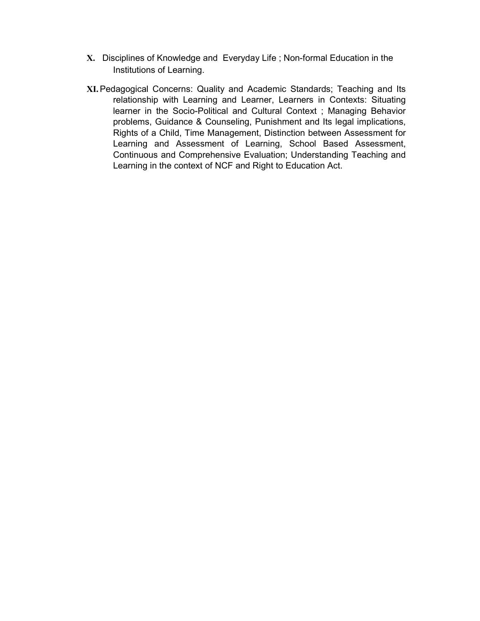- **X.** Disciplines of Knowledge and Everyday Life ; Non-formal Education in the Institutions of Learning.
- **XI.**Pedagogical Concerns: Quality and Academic Standards; Teaching and Its relationship with Learning and Learner, Learners in Contexts: Situating learner in the Socio-Political and Cultural Context ; Managing Behavior problems, Guidance & Counseling, Punishment and Its legal implications, Rights of a Child, Time Management, Distinction between Assessment for Learning and Assessment of Learning, School Based Assessment, Continuous and Comprehensive Evaluation; Understanding Teaching and Learning in the context of NCF and Right to Education Act.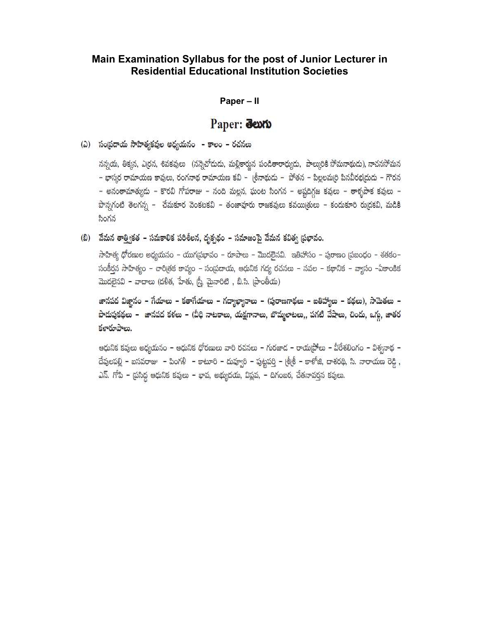#### **Paper – II**

## Paper: deuto

(ఎ) సంప్రదాయ సాహిత్యకవుల అధ్యయనం - కాలం - రచనలు

నస్నయ, తిక్మన, ఎర్రన, శివకవులు (నన్నెచోదుడు, మల్లికార్జున పండితారాధ్యుడు, పాల్కురికి సోమనాథుడు), నాచనసోమన - భాస్మర రామాయణ కావులు, రంగనాథ రామాయణ కవి - (శీనాథుడు - పోతన - పిల్లలమ(రి పినవీరభ(దుడు - గౌరన – అనంతామాత్యుడు – కొరవి గోపరాజు – నంది మల్లన, ఘంట సింగన – అష్టదిగ్గజ కవులు – తాక్సపాక కవులు – పొన్నగంటి తెలగన్న – చేమకూర వెంకటకవి – తంజావూరు రాజకవులు కవయి(తులు – కందుకూరి రు(దకవి, మడికి సింగన

(బి) మేమన తాత్వికత – సమకాలిక పరిశీలన, దృక్పథం – సమాజంపై వేమన కవిత్వ ప్రభావం.

సాహిత్య ధోరణుల అధ్యయనం – యుగ(పభావం – రూపాలు – మొదలైనవి. ఇతిహాసం – పురాణం (పబంధం – శతకం– సంకీర్తన సాహిత్యం – చారిత్రక కావ్యం – సంప్రదాయ, ఆధునిక గద్య రచనలు – నవల – కథానిక – వ్యాసం –ఏకాంకిక మొదలైనవి – వాదాలు (దళిత, హేతు, స్ర్తీ, మైనారిటి , బి.సి. (పాంతీయ)

జానపద విజ్ఞానం – గేయాలు – కతాగేయాలు – గద్యాఖ్యానాలు – (పురాణగాథలు – ఐతిహ్యాలు – కథలు), సామెతలు – పొడుపుకథలు – జానపద కళలు – (వీధి నాటకాలు, యక్షగానాలు, బొమ్మలాటలు,, పగటి వేషాలు, చిందు, ఒగు, జాతర కళారూపాలు.

ఆధునిక కవులు అధ్యయనం – ఆధునిక ధోరణులు వారి రచనలు – గురజాద – రాయబ్రోలు – వీరేశలింగం – విశ్వనాథ – దేవులపల్లి – బసవరాజు – పింగళి – కాటూరి – దువ్వూరి – పుట్టపర్తి – (శీ(శీ – కాళోజి, దాశరథి, సి. నారాయణ రెడ్డి, ఎస్. గోపి – ప్రసిద్ధ ఆధునిక కవులు – భావ, అభ్యుదయ, విష్ణవ, – దిగంబర, చేతనావర్తన కవులు.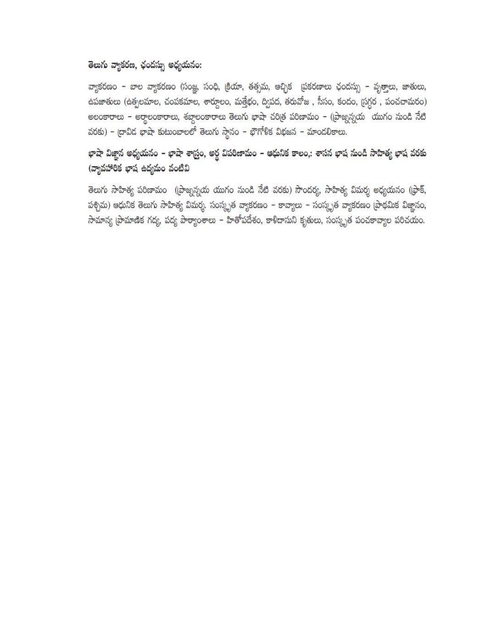## తెలుగు వ్యాకరణ, ఛందస్సు అధ్యయనం:

వ్యాకరణం – బాల వ్యాకరణం (సంజ్ఞ, సంధి, క్రియా, తత్సమ, ఆచ్ఛిక (పకరణాలు ఛందస్సు – వృత్తాలు, జాతులు, ఉపజాతులు (ఉత్పలమాల, చంపకమాల, శార్దూలం, మత్తేభం, ద్విపద, తరువోజ , సీసం, కందం, స్రగ్ధర , పంచచామరం) అలంకారాలు - అర్థాలంకారాలు, శబ్దాలంకారాలు తెలుగు భాషా చరిత్ర పరిణామం - (బ్రాజ్నన్నయ యుగం నుండి నేటి వరకు) – ద్రావిడ భాషా కుటుంబాలలో తెలుగు స్థానం – భౌగోళిక విభజన – మాండలికాలు.

# భాషా విజ్ఞాన అధ్యయనం – భాషా శాస్ర్లం, అర్థ విపరిణామం – ఆధునిక కాలం,: శాసన భాష నుండి సాహిత్య భాష వరకు (వ్యావహారిక భాష ఉద్యమం వంటివి

తెలుగు సాహిత్య పరిణామం ((పాజ్నస్నయ యుగం నుండి నేటి వరకు) సౌందర్య, సాహిత్య విమర్శ అధ్యయనం ((ఫాక్, పశ్చిమ) ఆధునిక తెలుగు సాహిత్య విమర్శ. సంస్కృత వ్యాకరణం – కావ్యాలు – సంస్కృత వ్యాకరణం (పాథమిక విజ్ఞానం, సామాన్య (పామాణిక గద్య, పద్య పాఠ్యాంశాలు – హితోపదేశం, కాళిదాసుని కృతులు, సంస్కృత పంచకావ్యాల పరిచయం.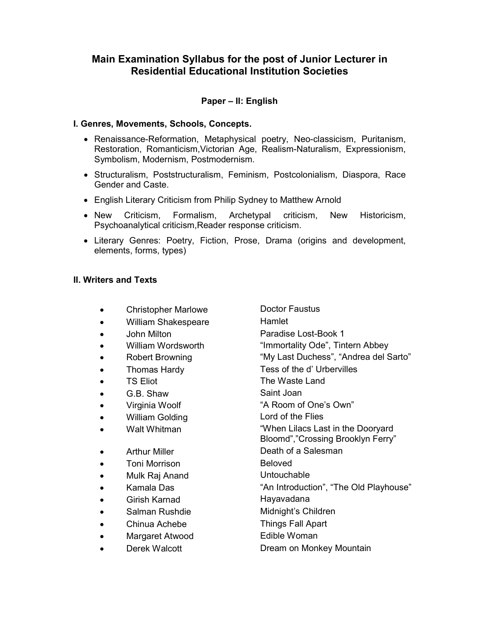## **Paper – II: English**

#### **I. Genres, Movements, Schools, Concepts.**

- Renaissance-Reformation, Metaphysical poetry, Neo-classicism, Puritanism, Restoration, Romanticism,Victorian Age, Realism-Naturalism, Expressionism, Symbolism, Modernism, Postmodernism.
- Structuralism, Poststructuralism, Feminism, Postcolonialism, Diaspora, Race Gender and Caste.
- English Literary Criticism from Philip Sydney to Matthew Arnold
- New Criticism, Formalism, Archetypal criticism, New Historicism, Psychoanalytical criticism,Reader response criticism.
- Literary Genres: Poetry, Fiction, Prose, Drama (origins and development, elements, forms, types)

#### **II. Writers and Texts**

- Christopher Marlowe Doctor Faustus
- William Shakespeare Hamlet
- 
- 
- 
- 
- 
- G.B. Shaw Saint Joan
- 
- William Golding Lord of the Flies
- 
- 
- **Toni Morrison Beloved**
- Mulk Raj Anand Untouchable
- 
- Girish Karnad **Hayavadana**
- 
- Chinua Achebe Things Fall Apart
- Margaret Atwood Edible Woman
- 

• John Milton **Paradise Lost-Book 1** • William Wordsworth "Immortality Ode", Tintern Abbey • Robert Browning "My Last Duchess", "Andrea del Sarto" • Thomas Hardy Tess of the d' Urbervilles TS Eliot **Fig. 2.1 The Waste Land** • Virginia Woolf "A Room of One's Own" • Walt Whitman "When Lilacs Last in the Dooryard Bloomd","Crossing Brooklyn Ferry" • Arthur Miller **Death of a Salesman** • Kamala Das "An Introduction", "The Old Playhouse" Salman Rushdie **Midnight's Children Derek Walcott Constructs** Dream on Monkey Mountain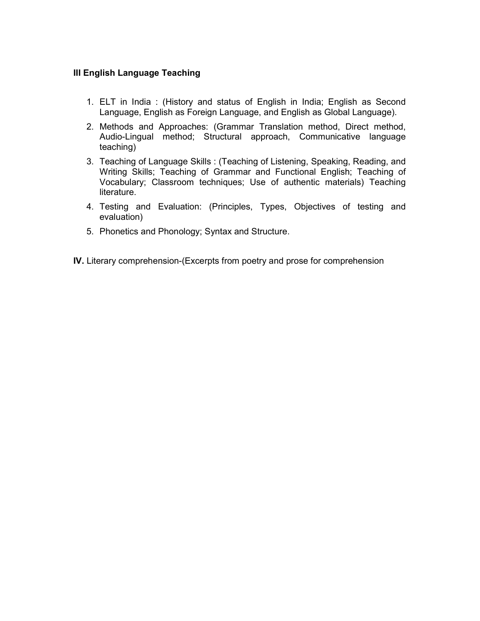## **III English Language Teaching**

- 1. ELT in India : (History and status of English in India; English as Second Language, English as Foreign Language, and English as Global Language).
- 2. Methods and Approaches: (Grammar Translation method, Direct method, Audio-Lingual method; Structural approach, Communicative language teaching)
- 3. Teaching of Language Skills : (Teaching of Listening, Speaking, Reading, and Writing Skills; Teaching of Grammar and Functional English; Teaching of Vocabulary; Classroom techniques; Use of authentic materials) Teaching literature.
- 4. Testing and Evaluation: (Principles, Types, Objectives of testing and evaluation)
- 5. Phonetics and Phonology; Syntax and Structure.
- **IV.** Literary comprehension-(Excerpts from poetry and prose for comprehension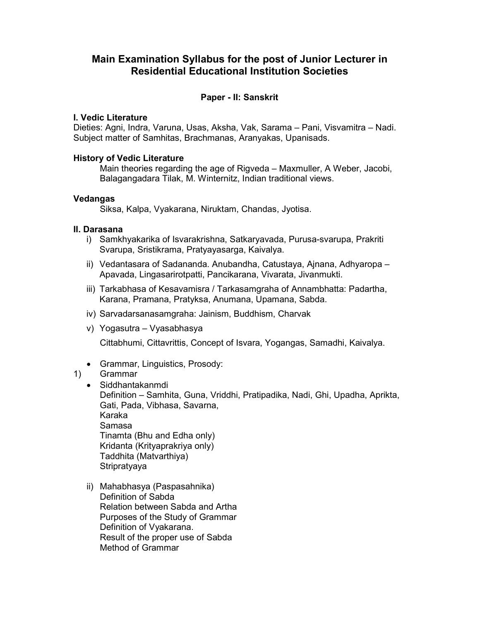### **Paper - II: Sanskrit**

#### **I. Vedic Literature**

Dieties: Agni, Indra, Varuna, Usas, Aksha, Vak, Sarama – Pani, Visvamitra – Nadi. Subject matter of Samhitas, Brachmanas, Aranyakas, Upanisads.

#### **History of Vedic Literature**

 Main theories regarding the age of Rigveda – Maxmuller, A Weber, Jacobi, Balagangadara Tilak, M. Winternitz, Indian traditional views.

#### **Vedangas**

Siksa, Kalpa, Vyakarana, Niruktam, Chandas, Jyotisa.

### **II. Darasana**

- i) Samkhyakarika of Isvarakrishna, Satkaryavada, Purusa-svarupa, Prakriti Svarupa, Sristikrama, Pratyayasarga, Kaivalya.
- ii) Vedantasara of Sadananda. Anubandha, Catustaya, Ajnana, Adhyaropa Apavada, Lingasarirotpatti, Pancikarana, Vivarata, Jivanmukti.
- iii) Tarkabhasa of Kesavamisra / Tarkasamgraha of Annambhatta: Padartha, Karana, Pramana, Pratyksa, Anumana, Upamana, Sabda.
- iv) Sarvadarsanasamgraha: Jainism, Buddhism, Charvak
- v) Yogasutra Vyasabhasya

Cittabhumi, Cittavrittis, Concept of Isvara, Yogangas, Samadhi, Kaivalya.

• Grammar, Linguistics, Prosody:

### 1) Grammar

• Siddhantakanmdi

 Definition – Samhita, Guna, Vriddhi, Pratipadika, Nadi, Ghi, Upadha, Aprikta, Gati, Pada, Vibhasa, Savarna,

 Karaka Samasa Tinamta (Bhu and Edha only) Kridanta (Krityaprakriya only) Taddhita (Matvarthiya) **Stripratyaya** 

ii) Mahabhasya (Paspasahnika) Definition of Sabda Relation between Sabda and Artha Purposes of the Study of Grammar Definition of Vyakarana. Result of the proper use of Sabda Method of Grammar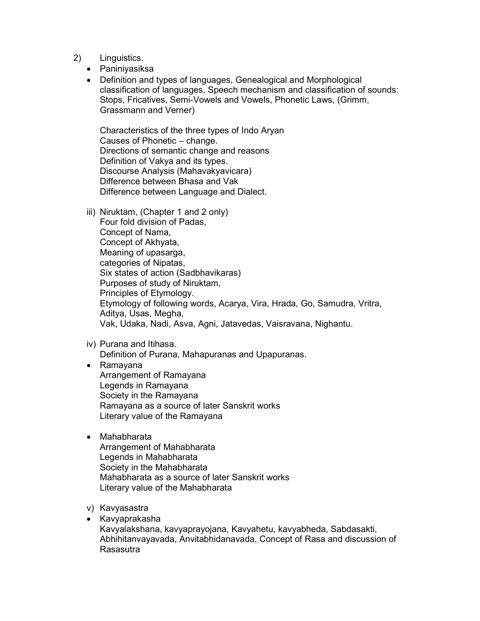- 2) Linguistics.
	- Paniniyasiksa
	- Definition and types of languages, Genealogical and Morphological classification of languages, Speech mechanism and classification of sounds: Stops, Fricatives, Semi-Vowels and Vowels, Phonetic Laws, (Grimm, Grassmann and Verner)

 Characteristics of the three types of Indo Aryan Causes of Phonetic – change. Directions of semantic change and reasons Definition of Vakya and its types. Discourse Analysis (Mahavakyavicara) Difference between Bhasa and Vak Difference between Language and Dialect.

iii) Niruktam, (Chapter 1 and 2 only)

 Four fold division of Padas, Concept of Nama, Concept of Akhyata, Meaning of upasarga, categories of Nipatas, Six states of action (Sadbhavikaras) Purposes of study of Niruktam, Principles of Etymology. Etymology of following words, Acarya, Vira, Hrada, Go, Samudra, Vritra, Aditya, Usas, Megha, Vak, Udaka, Nadi, Asva, Agni, Jatavedas, Vaisravana, Nighantu.

iv) Purana and Itihasa.

Definition of Purana, Mahapuranas and Upapuranas.

• Ramayana Arrangement of Ramayana Legends in Ramayana Society in the Ramayana Ramayana as a source of later Sanskrit works Literary value of the Ramayana

### • Mahabharata

- Arrangement of Mahabharata Legends in Mahabharata Society in the Mahabharata Mahabharata as a source of later Sanskrit works Literary value of the Mahabharata
- v) Kavyasastra
- Kavyaprakasha Kavyalakshana, kavyaprayojana, Kavyahetu, kavyabheda, Sabdasakti, Abhihitanvayavada, Anvitabhidanavada, Concept of Rasa and discussion of Rasasutra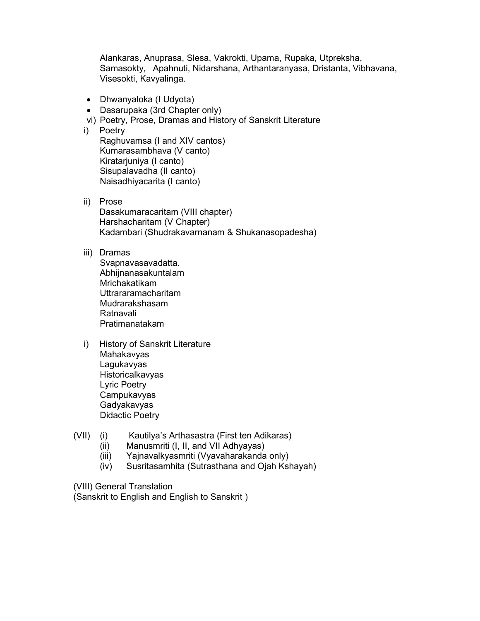Alankaras, Anuprasa, Slesa, Vakrokti, Upama, Rupaka, Utpreksha, Samasokty, Apahnuti, Nidarshana, Arthantaranyasa, Dristanta, Vibhavana, Visesokti, Kavyalinga.

- Dhwanyaloka (I Udyota)
- Dasarupaka (3rd Chapter only)
- vi) Poetry, Prose, Dramas and History of Sanskrit Literature
- i) Poetry Raghuvamsa (I and XIV cantos)

 Kumarasambhava (V canto) Kiratarjuniya (I canto) Sisupalavadha (II canto) Naisadhiyacarita (I canto)

ii) Prose

Dasakumaracaritam (VIII chapter) Harshacharitam (V Chapter) Kadambari (Shudrakavarnanam & Shukanasopadesha)

#### iii) Dramas

 Svapnavasavadatta. Abhijnanasakuntalam Mrichakatikam Uttrararamacharitam Mudrarakshasam Ratnavali Pratimanatakam

- i) History of Sanskrit Literature Mahakavyas Lagukavyas Historicalkavyas Lyric Poetry **Campukavyas**  Gadyakavyas Didactic Poetry
- (VII) (i) Kautilya's Arthasastra (First ten Adikaras)
	- (ii) Manusmriti (I, II, and VII Adhyayas)
	- (iii) Yajnavalkyasmriti (Vyavaharakanda only)
	- (iv) Susritasamhita (Sutrasthana and Ojah Kshayah)

(VIII) General Translation

(Sanskrit to English and English to Sanskrit )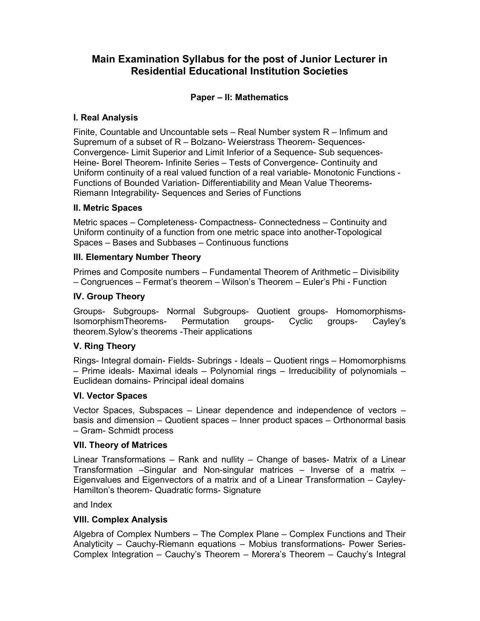## **Paper – II: Mathematics**

### **I. Real Analysis**

Finite, Countable and Uncountable sets – Real Number system R – Infimum and Supremum of a subset of R – Bolzano- Weierstrass Theorem- Sequences-Convergence- Limit Superior and Limit Inferior of a Sequence- Sub sequences-Heine- Borel Theorem- Infinite Series – Tests of Convergence- Continuity and Uniform continuity of a real valued function of a real variable- Monotonic Functions - Functions of Bounded Variation- Differentiability and Mean Value Theorems-Riemann Integrability- Sequences and Series of Functions

### **II. Metric Spaces**

Metric spaces – Completeness- Compactness- Connectedness – Continuity and Uniform continuity of a function from one metric space into another-Topological Spaces – Bases and Subbases – Continuous functions

#### **III. Elementary Number Theory**

Primes and Composite numbers – Fundamental Theorem of Arithmetic – Divisibility – Congruences – Fermat's theorem – Wilson's Theorem – Euler's Phi - Function

#### **IV. Group Theory**

Groups- Subgroups- Normal Subgroups- Quotient groups- Homomorphisms-IsomorphismTheorems- Permutation groups- Cyclic groups- Cayley's theorem.Sylow's theorems -Their applications

### **V. Ring Theory**

Rings- Integral domain- Fields- Subrings - Ideals – Quotient rings – Homomorphisms – Prime ideals- Maximal ideals – Polynomial rings – Irreducibility of polynomials – Euclidean domains- Principal ideal domains

#### **VI. Vector Spaces**

Vector Spaces, Subspaces – Linear dependence and independence of vectors – basis and dimension – Quotient spaces – Inner product spaces – Orthonormal basis – Gram- Schmidt process

#### **VII. Theory of Matrices**

Linear Transformations – Rank and nullity – Change of bases- Matrix of a Linear Transformation –Singular and Non-singular matrices – Inverse of a matrix – Eigenvalues and Eigenvectors of a matrix and of a Linear Transformation – Cayley-Hamilton's theorem- Quadratic forms- Signature

and Index

#### **VIII. Complex Analysis**

Algebra of Complex Numbers – The Complex Plane – Complex Functions and Their Analyticity – Cauchy-Riemann equations – Mobius transformations- Power Series-Complex Integration – Cauchy's Theorem – Morera's Theorem – Cauchy's Integral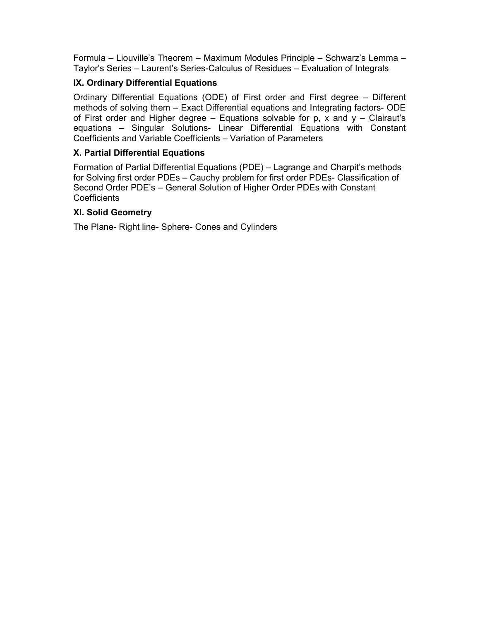Formula – Liouville's Theorem – Maximum Modules Principle – Schwarz's Lemma – Taylor's Series – Laurent's Series-Calculus of Residues – Evaluation of Integrals

## **IX. Ordinary Differential Equations**

Ordinary Differential Equations (ODE) of First order and First degree – Different methods of solving them – Exact Differential equations and Integrating factors- ODE of First order and Higher degree  $-$  Equations solvable for p, x and  $y -$  Clairaut's equations – Singular Solutions- Linear Differential Equations with Constant Coefficients and Variable Coefficients – Variation of Parameters

## **X. Partial Differential Equations**

Formation of Partial Differential Equations (PDE) – Lagrange and Charpit's methods for Solving first order PDEs – Cauchy problem for first order PDEs- Classification of Second Order PDE's – General Solution of Higher Order PDEs with Constant **Coefficients** 

## **XI. Solid Geometry**

The Plane- Right line- Sphere- Cones and Cylinders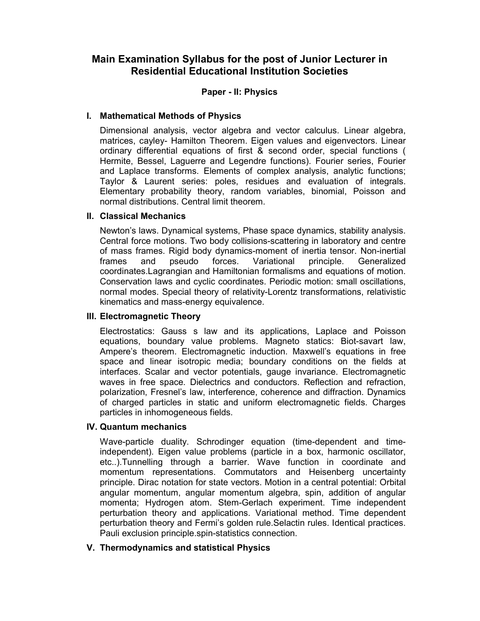### **Paper - II: Physics**

### **I. Mathematical Methods of Physics**

 Dimensional analysis, vector algebra and vector calculus. Linear algebra, matrices, cayley- Hamilton Theorem. Eigen values and eigenvectors. Linear ordinary differential equations of first & second order, special functions ( Hermite, Bessel, Laguerre and Legendre functions). Fourier series, Fourier and Laplace transforms. Elements of complex analysis, analytic functions; Taylor & Laurent series: poles, residues and evaluation of integrals. Elementary probability theory, random variables, binomial, Poisson and normal distributions. Central limit theorem.

### **II. Classical Mechanics**

 Newton's laws. Dynamical systems, Phase space dynamics, stability analysis. Central force motions. Two body collisions-scattering in laboratory and centre of mass frames. Rigid body dynamics-moment of inertia tensor. Non-inertial frames and pseudo forces. Variational principle. Generalized coordinates.Lagrangian and Hamiltonian formalisms and equations of motion. Conservation laws and cyclic coordinates. Periodic motion: small oscillations, normal modes. Special theory of relativity-Lorentz transformations, relativistic kinematics and mass-energy equivalence.

### **III. Electromagnetic Theory**

 Electrostatics: Gauss s law and its applications, Laplace and Poisson equations, boundary value problems. Magneto statics: Biot-savart law, Ampere's theorem. Electromagnetic induction. Maxwell's equations in free space and linear isotropic media; boundary conditions on the fields at interfaces. Scalar and vector potentials, gauge invariance. Electromagnetic waves in free space. Dielectrics and conductors. Reflection and refraction, polarization, Fresnel's law, interference, coherence and diffraction. Dynamics of charged particles in static and uniform electromagnetic fields. Charges particles in inhomogeneous fields.

#### **IV. Quantum mechanics**

 Wave-particle duality. Schrodinger equation (time-dependent and timeindependent). Eigen value problems (particle in a box, harmonic oscillator, etc..).Tunnelling through a barrier. Wave function in coordinate and momentum representations. Commutators and Heisenberg uncertainty principle. Dirac notation for state vectors. Motion in a central potential: Orbital angular momentum, angular momentum algebra, spin, addition of angular momenta; Hydrogen atom. Stem-Gerlach experiment. Time independent perturbation theory and applications. Variational method. Time dependent perturbation theory and Fermi's golden rule.Selactin rules. Identical practices. Pauli exclusion principle.spin-statistics connection.

### **V. Thermodynamics and statistical Physics**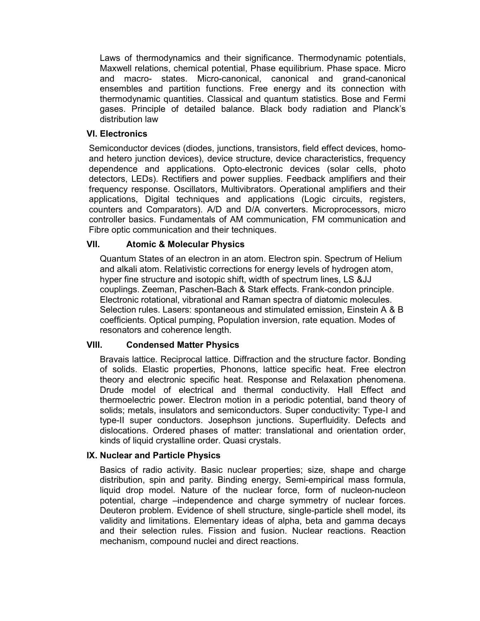Laws of thermodynamics and their significance. Thermodynamic potentials, Maxwell relations, chemical potential, Phase equilibrium. Phase space. Micro and macro- states. Micro-canonical, canonical and grand-canonical ensembles and partition functions. Free energy and its connection with thermodynamic quantities. Classical and quantum statistics. Bose and Fermi gases. Principle of detailed balance. Black body radiation and Planck's distribution law

### **VI. Electronics**

 Semiconductor devices (diodes, junctions, transistors, field effect devices, homoand hetero junction devices), device structure, device characteristics, frequency dependence and applications. Opto-electronic devices (solar cells, photo detectors, LEDs). Rectifiers and power supplies. Feedback amplifiers and their frequency response. Oscillators, Multivibrators. Operational amplifiers and their applications, Digital techniques and applications (Logic circuits, registers, counters and Comparators). A/D and D/A converters. Microprocessors, micro controller basics. Fundamentals of AM communication, FM communication and Fibre optic communication and their techniques.

#### **VII. Atomic & Molecular Physics**

 Quantum States of an electron in an atom. Electron spin. Spectrum of Helium and alkali atom. Relativistic corrections for energy levels of hydrogen atom, hyper fine structure and isotopic shift, width of spectrum lines, LS &JJ couplings. Zeeman, Paschen-Bach & Stark effects. Frank-condon principle. Electronic rotational, vibrational and Raman spectra of diatomic molecules. Selection rules. Lasers: spontaneous and stimulated emission, Einstein A & B coefficients. Optical pumping, Population inversion, rate equation. Modes of resonators and coherence length.

#### **VIII. Condensed Matter Physics**

 Bravais lattice. Reciprocal lattice. Diffraction and the structure factor. Bonding of solids. Elastic properties, Phonons, lattice specific heat. Free electron theory and electronic specific heat. Response and Relaxation phenomena. Drude model of electrical and thermal conductivity. Hall Effect and thermoelectric power. Electron motion in a periodic potential, band theory of solids; metals, insulators and semiconductors. Super conductivity: Type-I and type-II super conductors. Josephson junctions. Superfluidity. Defects and dislocations. Ordered phases of matter: translational and orientation order, kinds of liquid crystalline order. Quasi crystals.

### **IX. Nuclear and Particle Physics**

 Basics of radio activity. Basic nuclear properties; size, shape and charge distribution, spin and parity. Binding energy, Semi-empirical mass formula, liquid drop model. Nature of the nuclear force, form of nucleon-nucleon potential, charge –independence and charge symmetry of nuclear forces. Deuteron problem. Evidence of shell structure, single-particle shell model, its validity and limitations. Elementary ideas of alpha, beta and gamma decays and their selection rules. Fission and fusion. Nuclear reactions. Reaction mechanism, compound nuclei and direct reactions.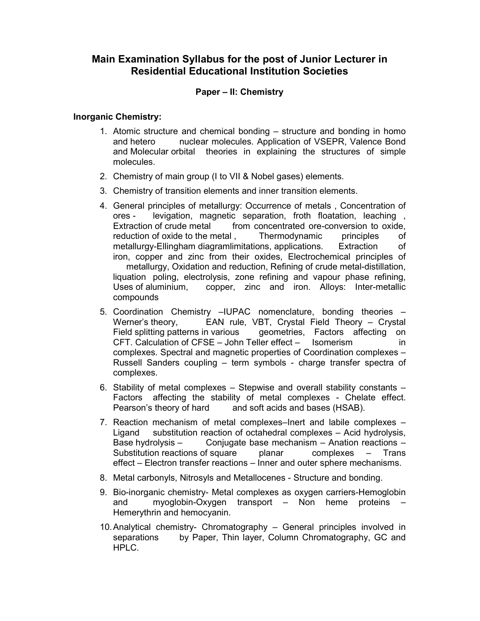#### **Paper – II: Chemistry**

#### **Inorganic Chemistry:**

- 1. Atomic structure and chemical bonding structure and bonding in homo and hetero nuclear molecules. Application of VSEPR, Valence Bond and Molecular orbital theories in explaining the structures of simple molecules.
- 2. Chemistry of main group (I to VII & Nobel gases) elements.
- 3. Chemistry of transition elements and inner transition elements.
- 4. General principles of metallurgy: Occurrence of metals , Concentration of ores - levigation, magnetic separation, froth floatation, leaching , Extraction of crude metal from concentrated ore-conversion to oxide, reduction of oxide to the metal , Thermodynamic principles of metallurgy-Ellingham diagramlimitations, applications. Extraction of iron, copper and zinc from their oxides, Electrochemical principles of metallurgy, Oxidation and reduction, Refining of crude metal-distillation, liquation poling, electrolysis, zone refining and vapour phase refining, Uses of aluminium, copper, zinc and iron. Alloys: Inter-metallic compounds
- 5. Coordination Chemistry –IUPAC nomenclature, bonding theories Werner's theory, EAN rule, VBT, Crystal Field Theory – Crystal Field splitting patterns in various geometries, Factors affecting on geometries, Factors affecting on CFT. Calculation of CFSE – John Teller effect – Isomerism in complexes. Spectral and magnetic properties of Coordination complexes – Russell Sanders coupling – term symbols - charge transfer spectra of complexes.
- 6. Stability of metal complexes Stepwise and overall stability constants Factors affecting the stability of metal complexes - Chelate effect. Pearson's theory of hard and soft acids and bases (HSAB).
- 7. Reaction mechanism of metal complexes–Inert and labile complexes Ligand substitution reaction of octahedral complexes – Acid hydrolysis, Base hydrolysis – Conjugate base mechanism – Anation reactions –<br>Substitution reactions of square planar complexes – Trans Substitution reactions of square planar complexes – Trans effect – Electron transfer reactions – Inner and outer sphere mechanisms.
- 8. Metal carbonyls, Nitrosyls and Metallocenes Structure and bonding.
- 9. Bio-inorganic chemistry- Metal complexes as oxygen carriers-Hemoglobin and myoglobin-Oxygen transport – Non heme proteins – Hemerythrin and hemocyanin.
- 10. Analytical chemistry- Chromatography General principles involved in separations by Paper, Thin layer, Column Chromatography, GC and HPLC.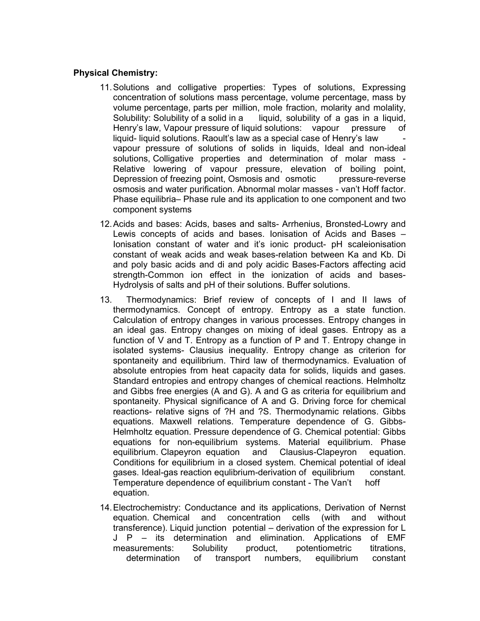### **Physical Chemistry:**

- 11. Solutions and colligative properties: Types of solutions, Expressing concentration of solutions mass percentage, volume percentage, mass by volume percentage, parts per million, mole fraction, molarity and molality, Solubility: Solubility of a solid in a liquid, solubility of a gas in a liquid, Henry's law, Vapour pressure of liquid solutions: vapour pressure of liquid- liquid solutions. Raoult's law as a special case of Henry's law vapour pressure of solutions of solids in liquids, Ideal and non-ideal solutions, Colligative properties and determination of molar mass - Relative lowering of vapour pressure, elevation of boiling point, Depression of freezing point, Osmosis and osmotic pressure-reverse osmosis and water purification. Abnormal molar masses - van't Hoff factor. Phase equilibria– Phase rule and its application to one component and two component systems
- 12. Acids and bases: Acids, bases and salts- Arrhenius, Bronsted-Lowry and Lewis concepts of acids and bases. Ionisation of Acids and Bases – Ionisation constant of water and it's ionic product- pH scaleionisation constant of weak acids and weak bases-relation between Ka and Kb. Di and poly basic acids and di and poly acidic Bases-Factors affecting acid strength-Common ion effect in the ionization of acids and bases-Hydrolysis of salts and pH of their solutions. Buffer solutions.
- 13. Thermodynamics: Brief review of concepts of I and II laws of thermodynamics. Concept of entropy. Entropy as a state function. Calculation of entropy changes in various processes. Entropy changes in an ideal gas. Entropy changes on mixing of ideal gases. Entropy as a function of V and T. Entropy as a function of P and T. Entropy change in isolated systems- Clausius inequality. Entropy change as criterion for spontaneity and equilibrium. Third law of thermodynamics. Evaluation of absolute entropies from heat capacity data for solids, liquids and gases. Standard entropies and entropy changes of chemical reactions. Helmholtz and Gibbs free energies (A and G). A and G as criteria for equilibrium and spontaneity. Physical significance of A and G. Driving force for chemical reactions- relative signs of ?H and ?S. Thermodynamic relations. Gibbs equations. Maxwell relations. Temperature dependence of G. Gibbs-Helmholtz equation. Pressure dependence of G. Chemical potential: Gibbs equations for non-equilibrium systems. Material equilibrium. Phase equilibrium. Clapeyron equation and Clausius-Clapeyron equation. Conditions for equilibrium in a closed system. Chemical potential of ideal gases. Ideal-gas reaction equlibrium-derivation of equilibrium constant. Temperature dependence of equilibrium constant - The Van't hoff equation.
- 14. Electrochemistry: Conductance and its applications, Derivation of Nernst equation. Chemical and concentration cells (with and without transference). Liquid junction potential – derivation of the expression for L J P – its determination and elimination. Applications of EMF measurements: Solubility product, potentiometric titrations, determination of transport numbers, equilibrium constant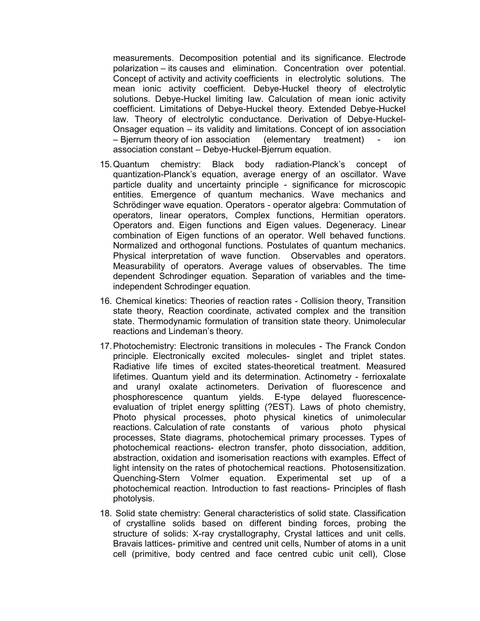measurements. Decomposition potential and its significance. Electrode polarization – its causes and elimination. Concentration over potential. Concept of activity and activity coefficients in electrolytic solutions. The mean ionic activity coefficient. Debye-Huckel theory of electrolytic solutions. Debye-Huckel limiting law. Calculation of mean ionic activity coefficient. Limitations of Debye-Huckel theory. Extended Debye-Huckel law. Theory of electrolytic conductance. Derivation of Debye-Huckel-Onsager equation – its validity and limitations. Concept of ion association – Bjerrum theory of ion association (elementary treatment) - ion association constant – Debye-Huckel-Bjerrum equation.

- 15. Quantum chemistry: Black body radiation-Planck's concept of quantization-Planck's equation, average energy of an oscillator. Wave particle duality and uncertainty principle - significance for microscopic entities. Emergence of quantum mechanics. Wave mechanics and Schrödinger wave equation. Operators - operator algebra: Commutation of operators, linear operators, Complex functions, Hermitian operators. Operators and. Eigen functions and Eigen values. Degeneracy. Linear combination of Eigen functions of an operator. Well behaved functions. Normalized and orthogonal functions. Postulates of quantum mechanics. Physical interpretation of wave function. Observables and operators. Measurability of operators. Average values of observables. The time dependent Schrodinger equation. Separation of variables and the timeindependent Schrodinger equation.
- 16. Chemical kinetics: Theories of reaction rates Collision theory, Transition state theory, Reaction coordinate, activated complex and the transition state. Thermodynamic formulation of transition state theory. Unimolecular reactions and Lindeman's theory.
- 17. Photochemistry: Electronic transitions in molecules The Franck Condon principle. Electronically excited molecules- singlet and triplet states. Radiative life times of excited states-theoretical treatment. Measured lifetimes. Quantum yield and its determination. Actinometry - ferrioxalate and uranyl oxalate actinometers. Derivation of fluorescence and phosphorescence quantum yields. E-type delayed fluorescenceevaluation of triplet energy splitting (?EST). Laws of photo chemistry, Photo physical processes, photo physical kinetics of unimolecular reactions. Calculation of rate constants of various photo physical processes, State diagrams, photochemical primary processes. Types of photochemical reactions- electron transfer, photo dissociation, addition, abstraction, oxidation and isomerisation reactions with examples. Effect of light intensity on the rates of photochemical reactions. Photosensitization. Quenching-Stern Volmer equation. Experimental set up of a photochemical reaction. Introduction to fast reactions- Principles of flash photolysis.
- 18. Solid state chemistry: General characteristics of solid state. Classification of crystalline solids based on different binding forces, probing the structure of solids: X-ray crystallography, Crystal lattices and unit cells. Bravais lattices- primitive and centred unit cells, Number of atoms in a unit cell (primitive, body centred and face centred cubic unit cell), Close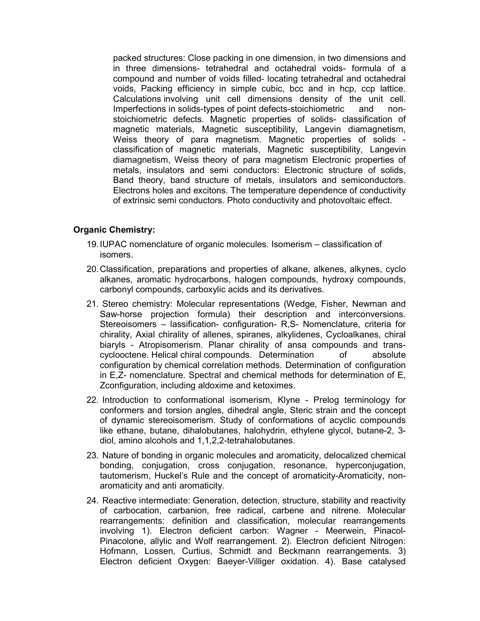packed structures: Close packing in one dimension, in two dimensions and in three dimensions- tetrahedral and octahedral voids- formula of a compound and number of voids filled- locating tetrahedral and octahedral voids, Packing efficiency in simple cubic, bcc and in hcp, ccp lattice. Calculations involving unit cell dimensions density of the unit cell. Imperfections in solids-types of point defects-stoichiometric and nonstoichiometric defects. Magnetic properties of solids- classification of magnetic materials, Magnetic susceptibility, Langevin diamagnetism, Weiss theory of para magnetism. Magnetic properties of solids classification of magnetic materials, Magnetic susceptibility, Langevin diamagnetism, Weiss theory of para magnetism Electronic properties of metals, insulators and semi conductors: Electronic structure of solids, Band theory, band structure of metals, insulators and semiconductors. Electrons holes and excitons. The temperature dependence of conductivity of extrinsic semi conductors. Photo conductivity and photovoltaic effect.

### **Organic Chemistry:**

- 19. IUPAC nomenclature of organic molecules. Isomerism classification of isomers.
- 20. Classification, preparations and properties of alkane, alkenes, alkynes, cyclo alkanes, aromatic hydrocarbons, halogen compounds, hydroxy compounds, carbonyl compounds, carboxylic acids and its derivatives.
- 21. Stereo chemistry: Molecular representations (Wedge, Fisher, Newman and Saw-horse projection formula) their description and interconversions. Stereoisomers – lassification- configuration- R,S- Nomenclature, criteria for chirality, Axial chirality of allenes, spiranes, alkylidenes, Cycloalkanes, chiral biaryls - Atropisomerism. Planar chirality of ansa compounds and transcyclooctene. Helical chiral compounds. Determination of absolute configuration by chemical correlation methods. Determination of configuration in E,Z- nomenclature. Spectral and chemical methods for determination of E, Zconfiguration, including aldoxime and ketoximes.
- 22. Introduction to conformational isomerism, Klyne Prelog terminology for conformers and torsion angles, dihedral angle, Steric strain and the concept of dynamic stereoisomerism. Study of conformations of acyclic compounds like ethane, butane, dihalobutanes, halohydrin, ethylene glycol, butane-2, 3 diol, amino alcohols and 1,1,2,2-tetrahalobutanes.
- 23. Nature of bonding in organic molecules and aromaticity, delocalized chemical bonding, conjugation, cross conjugation, resonance, hyperconjugation, tautomerism, Huckel's Rule and the concept of aromaticity-Aromaticity, nonaromaticity and anti aromaticity.
- 24. Reactive intermediate: Generation, detection, structure, stability and reactivity of carbocation, carbanion, free radical, carbene and nitrene. Molecular rearrangements: definition and classification, molecular rearrangements involving 1). Electron deficient carbon: Wagner - Meerwein, Pinacol-Pinacolone, allylic and Wolf rearrangement. 2). Electron deficient Nitrogen: Hofmann, Lossen, Curtius, Schmidt and Beckmann rearrangements. 3) Electron deficient Oxygen: Baeyer-Villiger oxidation. 4). Base catalysed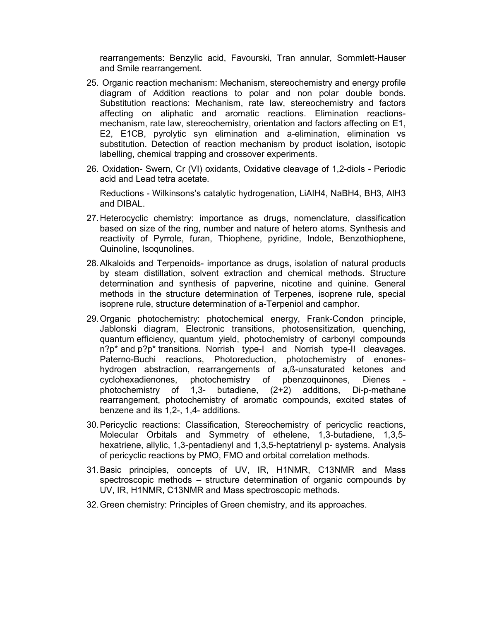rearrangements: Benzylic acid, Favourski, Tran annular, Sommlett-Hauser and Smile rearrangement.

- 25. Organic reaction mechanism: Mechanism, stereochemistry and energy profile diagram of Addition reactions to polar and non polar double bonds. Substitution reactions: Mechanism, rate law, stereochemistry and factors affecting on aliphatic and aromatic reactions. Elimination reactionsmechanism, rate law, stereochemistry, orientation and factors affecting on E1, E2, E1CB, pyrolytic syn elimination and a-elimination, elimination vs substitution. Detection of reaction mechanism by product isolation, isotopic labelling, chemical trapping and crossover experiments.
- 26. Oxidation- Swern, Cr (VI) oxidants, Oxidative cleavage of 1,2-diols Periodic acid and Lead tetra acetate.

 Reductions - Wilkinsons's catalytic hydrogenation, LiAlH4, NaBH4, BH3, AlH3 and DIBAL.

- 27. Heterocyclic chemistry: importance as drugs, nomenclature, classification based on size of the ring, number and nature of hetero atoms. Synthesis and reactivity of Pyrrole, furan, Thiophene, pyridine, Indole, Benzothiophene, Quinoline, Isoqunolines.
- 28. Alkaloids and Terpenoids- importance as drugs, isolation of natural products by steam distillation, solvent extraction and chemical methods. Structure determination and synthesis of papverine, nicotine and quinine. General methods in the structure determination of Terpenes, isoprene rule, special isoprene rule, structure determination of a-Terpeniol and camphor.
- 29. Organic photochemistry: photochemical energy, Frank-Condon principle, Jablonski diagram, Electronic transitions, photosensitization, quenching, quantum efficiency, quantum yield, photochemistry of carbonyl compounds n?p\* and p?p\* transitions. Norrish type-I and Norrish type-II cleavages. Paterno-Buchi reactions, Photoreduction, photochemistry of enoneshydrogen abstraction, rearrangements of a,ß-unsaturated ketones and cyclohexadienones, photochemistry of pbenzoquinones, Dienes photochemistry of 1,3- butadiene, (2+2) additions, Di-p-methane rearrangement, photochemistry of aromatic compounds, excited states of benzene and its 1,2-, 1,4- additions.
- 30. Pericyclic reactions: Classification, Stereochemistry of pericyclic reactions, Molecular Orbitals and Symmetry of ethelene, 1,3-butadiene, 1,3,5 hexatriene, allylic, 1,3-pentadienyl and 1,3,5-heptatrienyl p- systems. Analysis of pericyclic reactions by PMO, FMO and orbital correlation methods.
- 31. Basic principles, concepts of UV, IR, H1NMR, C13NMR and Mass spectroscopic methods – structure determination of organic compounds by UV, IR, H1NMR, C13NMR and Mass spectroscopic methods.
- 32. Green chemistry: Principles of Green chemistry, and its approaches.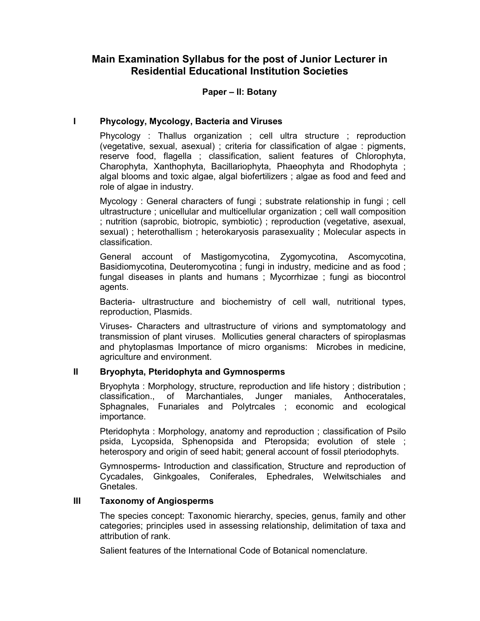### **Paper – II: Botany**

### **I Phycology, Mycology, Bacteria and Viruses**

 Phycology : Thallus organization ; cell ultra structure ; reproduction (vegetative, sexual, asexual) ; criteria for classification of algae : pigments, reserve food, flagella ; classification, salient features of Chlorophyta, Charophyta, Xanthophyta, Bacillariophyta, Phaeophyta and Rhodophyta ; algal blooms and toxic algae, algal biofertilizers ; algae as food and feed and role of algae in industry.

 Mycology : General characters of fungi ; substrate relationship in fungi ; cell ultrastructure ; unicellular and multicellular organization ; cell wall composition ; nutrition (saprobic, biotropic, symbiotic) ; reproduction (vegetative, asexual, sexual) ; heterothallism ; heterokaryosis parasexuality ; Molecular aspects in classification.

 General account of Mastigomycotina, Zygomycotina, Ascomycotina, Basidiomycotina, Deuteromycotina ; fungi in industry, medicine and as food ; fungal diseases in plants and humans ; Mycorrhizae ; fungi as biocontrol agents.

 Bacteria- ultrastructure and biochemistry of cell wall, nutritional types, reproduction, Plasmids.

 Viruses- Characters and ultrastructure of virions and symptomatology and transmission of plant viruses. Mollicuties general characters of spiroplasmas and phytoplasmas Importance of micro organisms: Microbes in medicine, agriculture and environment.

### **II Bryophyta, Pteridophyta and Gymnosperms**

 Bryophyta : Morphology, structure, reproduction and life history ; distribution ; classification., of Marchantiales, Junger maniales, Anthoceratales, Sphagnales, Funariales and Polytrcales ; economic and ecological importance.

 Pteridophyta : Morphology, anatomy and reproduction ; classification of Psilo psida, Lycopsida, Sphenopsida and Pteropsida; evolution of stele ; heterospory and origin of seed habit; general account of fossil pteriodophyts.

 Gymnosperms- Introduction and classification, Structure and reproduction of Cycadales, Ginkgoales, Coniferales, Ephedrales, Welwitschiales and Gnetales.

### **III Taxonomy of Angiosperms**

 The species concept: Taxonomic hierarchy, species, genus, family and other categories; principles used in assessing relationship, delimitation of taxa and attribution of rank.

Salient features of the International Code of Botanical nomenclature.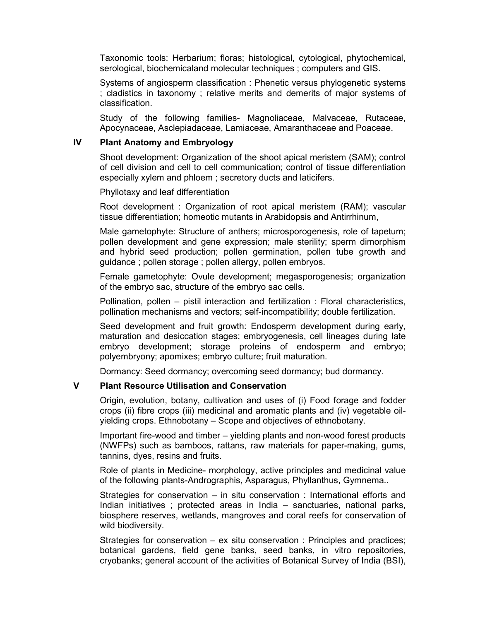Taxonomic tools: Herbarium; floras; histological, cytological, phytochemical, serological, biochemicaland molecular techniques ; computers and GIS.

 Systems of angiosperm classification : Phenetic versus phylogenetic systems ; cladistics in taxonomy ; relative merits and demerits of major systems of classification.

 Study of the following families- Magnoliaceae, Malvaceae, Rutaceae, Apocynaceae, Asclepiadaceae, Lamiaceae, Amaranthaceae and Poaceae.

#### **IV Plant Anatomy and Embryology**

 Shoot development: Organization of the shoot apical meristem (SAM); control of cell division and cell to cell communication; control of tissue differentiation especially xylem and phloem ; secretory ducts and laticifers.

Phyllotaxy and leaf differentiation

 Root development : Organization of root apical meristem (RAM); vascular tissue differentiation; homeotic mutants in Arabidopsis and Antirrhinum,

 Male gametophyte: Structure of anthers; microsporogenesis, role of tapetum; pollen development and gene expression; male sterility; sperm dimorphism and hybrid seed production; pollen germination, pollen tube growth and guidance ; pollen storage ; pollen allergy, pollen embryos.

 Female gametophyte: Ovule development; megasporogenesis; organization of the embryo sac, structure of the embryo sac cells.

 Pollination, pollen – pistil interaction and fertilization : Floral characteristics, pollination mechanisms and vectors; self-incompatibility; double fertilization.

 Seed development and fruit growth: Endosperm development during early, maturation and desiccation stages; embryogenesis, cell lineages during late embryo development; storage proteins of endosperm and embryo; polyembryony; apomixes; embryo culture; fruit maturation.

Dormancy: Seed dormancy; overcoming seed dormancy; bud dormancy.

#### **V Plant Resource Utilisation and Conservation**

 Origin, evolution, botany, cultivation and uses of (i) Food forage and fodder crops (ii) fibre crops (iii) medicinal and aromatic plants and (iv) vegetable oilyielding crops. Ethnobotany – Scope and objectives of ethnobotany.

 Important fire-wood and timber – yielding plants and non-wood forest products (NWFPs) such as bamboos, rattans, raw materials for paper-making, gums, tannins, dyes, resins and fruits.

 Role of plants in Medicine- morphology, active principles and medicinal value of the following plants-Andrographis, Asparagus, Phyllanthus, Gymnema..

 Strategies for conservation – in situ conservation : International efforts and Indian initiatives ; protected areas in India – sanctuaries, national parks, biosphere reserves, wetlands, mangroves and coral reefs for conservation of wild biodiversity.

 Strategies for conservation – ex situ conservation : Principles and practices; botanical gardens, field gene banks, seed banks, in vitro repositories, cryobanks; general account of the activities of Botanical Survey of India (BSI),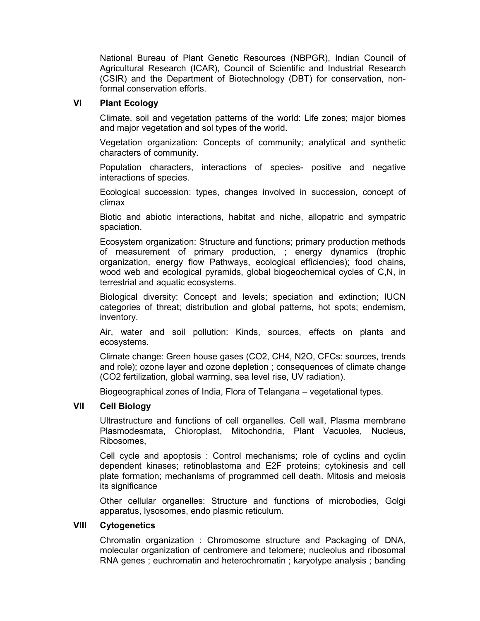National Bureau of Plant Genetic Resources (NBPGR), Indian Council of Agricultural Research (ICAR), Council of Scientific and Industrial Research (CSIR) and the Department of Biotechnology (DBT) for conservation, nonformal conservation efforts.

### **VI Plant Ecology**

 Climate, soil and vegetation patterns of the world: Life zones; major biomes and major vegetation and sol types of the world.

 Vegetation organization: Concepts of community; analytical and synthetic characters of community.

 Population characters, interactions of species- positive and negative interactions of species.

 Ecological succession: types, changes involved in succession, concept of climax

 Biotic and abiotic interactions, habitat and niche, allopatric and sympatric spaciation.

 Ecosystem organization: Structure and functions; primary production methods of measurement of primary production, ; energy dynamics (trophic organization, energy flow Pathways, ecological efficiencies); food chains, wood web and ecological pyramids, global biogeochemical cycles of C,N, in terrestrial and aquatic ecosystems.

 Biological diversity: Concept and levels; speciation and extinction; IUCN categories of threat; distribution and global patterns, hot spots; endemism, inventory.

 Air, water and soil pollution: Kinds, sources, effects on plants and ecosystems.

 Climate change: Green house gases (CO2, CH4, N2O, CFCs: sources, trends and role); ozone layer and ozone depletion ; consequences of climate change (CO2 fertilization, global warming, sea level rise, UV radiation).

Biogeographical zones of India, Flora of Telangana – vegetational types.

#### **VII Cell Biology**

 Ultrastructure and functions of cell organelles. Cell wall, Plasma membrane Plasmodesmata, Chloroplast, Mitochondria, Plant Vacuoles, Nucleus, Ribosomes,

 Cell cycle and apoptosis : Control mechanisms; role of cyclins and cyclin dependent kinases; retinoblastoma and E2F proteins; cytokinesis and cell plate formation; mechanisms of programmed cell death. Mitosis and meiosis its significance

 Other cellular organelles: Structure and functions of microbodies, Golgi apparatus, lysosomes, endo plasmic reticulum.

#### **VIII Cytogenetics**

 Chromatin organization : Chromosome structure and Packaging of DNA, molecular organization of centromere and telomere; nucleolus and ribosomal RNA genes ; euchromatin and heterochromatin ; karyotype analysis ; banding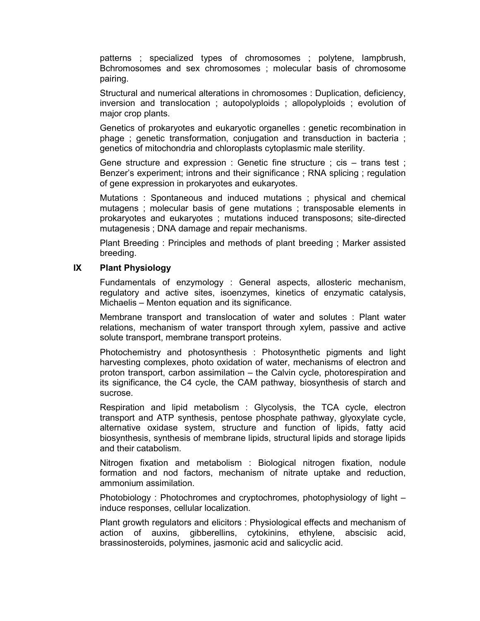patterns ; specialized types of chromosomes ; polytene, lampbrush, Bchromosomes and sex chromosomes ; molecular basis of chromosome pairing.

 Structural and numerical alterations in chromosomes : Duplication, deficiency, inversion and translocation ; autopolyploids ; allopolyploids ; evolution of major crop plants.

 Genetics of prokaryotes and eukaryotic organelles : genetic recombination in phage ; genetic transformation, conjugation and transduction in bacteria ; genetics of mitochondria and chloroplasts cytoplasmic male sterility.

 Gene structure and expression : Genetic fine structure ; cis – trans test ; Benzer's experiment; introns and their significance ; RNA splicing ; regulation of gene expression in prokaryotes and eukaryotes.

 Mutations : Spontaneous and induced mutations ; physical and chemical mutagens ; molecular basis of gene mutations ; transposable elements in prokaryotes and eukaryotes ; mutations induced transposons; site-directed mutagenesis ; DNA damage and repair mechanisms.

 Plant Breeding : Principles and methods of plant breeding ; Marker assisted breeding.

#### **IX Plant Physiology**

 Fundamentals of enzymology : General aspects, allosteric mechanism, regulatory and active sites, isoenzymes, kinetics of enzymatic catalysis, Michaelis – Menton equation and its significance.

 Membrane transport and translocation of water and solutes : Plant water relations, mechanism of water transport through xylem, passive and active solute transport, membrane transport proteins.

 Photochemistry and photosynthesis : Photosynthetic pigments and light harvesting complexes, photo oxidation of water, mechanisms of electron and proton transport, carbon assimilation – the Calvin cycle, photorespiration and its significance, the C4 cycle, the CAM pathway, biosynthesis of starch and sucrose.

 Respiration and lipid metabolism : Glycolysis, the TCA cycle, electron transport and ATP synthesis, pentose phosphate pathway, glyoxylate cycle, alternative oxidase system, structure and function of lipids, fatty acid biosynthesis, synthesis of membrane lipids, structural lipids and storage lipids and their catabolism.

 Nitrogen fixation and metabolism : Biological nitrogen fixation, nodule formation and nod factors, mechanism of nitrate uptake and reduction, ammonium assimilation.

 Photobiology : Photochromes and cryptochromes, photophysiology of light – induce responses, cellular localization.

 Plant growth regulators and elicitors : Physiological effects and mechanism of action of auxins, gibberellins, cytokinins, ethylene, abscisic acid, brassinosteroids, polymines, jasmonic acid and salicyclic acid.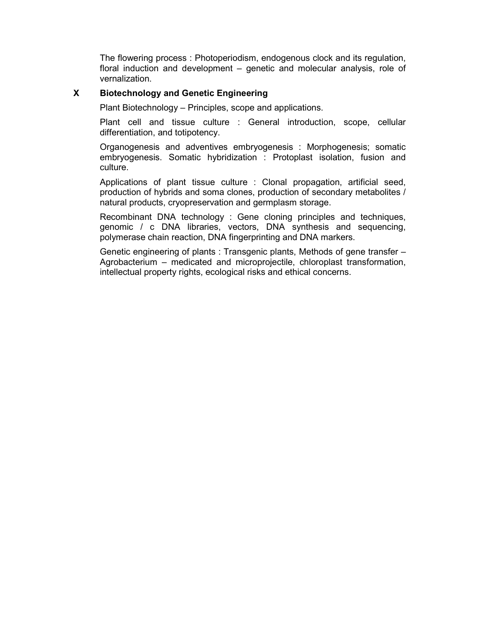The flowering process : Photoperiodism, endogenous clock and its regulation, floral induction and development – genetic and molecular analysis, role of vernalization.

### **X Biotechnology and Genetic Engineering**

Plant Biotechnology – Principles, scope and applications.

 Plant cell and tissue culture : General introduction, scope, cellular differentiation, and totipotency.

 Organogenesis and adventives embryogenesis : Morphogenesis; somatic embryogenesis. Somatic hybridization : Protoplast isolation, fusion and culture.

 Applications of plant tissue culture : Clonal propagation, artificial seed, production of hybrids and soma clones, production of secondary metabolites / natural products, cryopreservation and germplasm storage.

 Recombinant DNA technology : Gene cloning principles and techniques, genomic / c DNA libraries, vectors, DNA synthesis and sequencing, polymerase chain reaction, DNA fingerprinting and DNA markers.

 Genetic engineering of plants : Transgenic plants, Methods of gene transfer – Agrobacterium – medicated and microprojectile, chloroplast transformation, intellectual property rights, ecological risks and ethical concerns.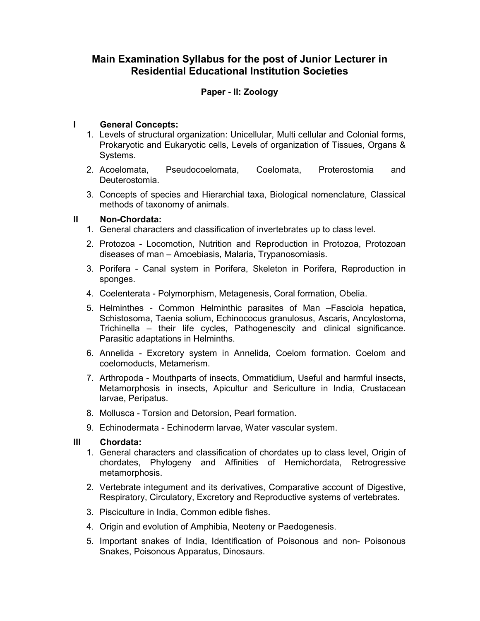## **Paper - II: Zoology**

## **I General Concepts:**

- 1. Levels of structural organization: Unicellular, Multi cellular and Colonial forms, Prokaryotic and Eukaryotic cells, Levels of organization of Tissues, Organs & Systems.
- 2. Acoelomata, Pseudocoelomata, Coelomata, Proterostomia and Deuterostomia.
- 3. Concepts of species and Hierarchial taxa, Biological nomenclature, Classical methods of taxonomy of animals.

#### **II Non-Chordata:**

- 1. General characters and classification of invertebrates up to class level.
- 2. Protozoa Locomotion, Nutrition and Reproduction in Protozoa, Protozoan diseases of man – Amoebiasis, Malaria, Trypanosomiasis.
- 3. Porifera Canal system in Porifera, Skeleton in Porifera, Reproduction in sponges.
- 4. Coelenterata Polymorphism, Metagenesis, Coral formation, Obelia.
- 5. Helminthes Common Helminthic parasites of Man –Fasciola hepatica, Schistosoma, Taenia solium, Echinococus granulosus, Ascaris, Ancylostoma, Trichinella – their life cycles, Pathogenescity and clinical significance. Parasitic adaptations in Helminths.
- 6. Annelida Excretory system in Annelida, Coelom formation. Coelom and coelomoducts, Metamerism.
- 7. Arthropoda Mouthparts of insects, Ommatidium, Useful and harmful insects, Metamorphosis in insects, Apicultur and Sericulture in India, Crustacean larvae, Peripatus.
- 8. Mollusca Torsion and Detorsion, Pearl formation.
- 9. Echinodermata Echinoderm larvae, Water vascular system.

#### **III Chordata:**

- 1. General characters and classification of chordates up to class level, Origin of chordates, Phylogeny and Affinities of Hemichordata, Retrogressive metamorphosis.
- 2. Vertebrate integument and its derivatives, Comparative account of Digestive, Respiratory, Circulatory, Excretory and Reproductive systems of vertebrates.
- 3. Pisciculture in India, Common edible fishes.
- 4. Origin and evolution of Amphibia, Neoteny or Paedogenesis.
- 5. Important snakes of India, Identification of Poisonous and non- Poisonous Snakes, Poisonous Apparatus, Dinosaurs.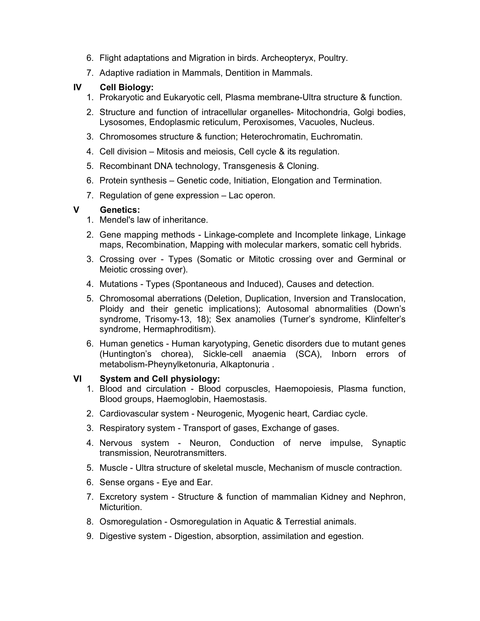- 6. Flight adaptations and Migration in birds. Archeopteryx, Poultry.
- 7. Adaptive radiation in Mammals, Dentition in Mammals.

### **IV Cell Biology:**

- 1. Prokaryotic and Eukaryotic cell, Plasma membrane-Ultra structure & function.
- 2. Structure and function of intracellular organelles- Mitochondria, Golgi bodies, Lysosomes, Endoplasmic reticulum, Peroxisomes, Vacuoles, Nucleus.
- 3. Chromosomes structure & function; Heterochromatin, Euchromatin.
- 4. Cell division Mitosis and meiosis, Cell cycle & its regulation.
- 5. Recombinant DNA technology, Transgenesis & Cloning.
- 6. Protein synthesis Genetic code, Initiation, Elongation and Termination.
- 7. Regulation of gene expression Lac operon.

### **V Genetics:**

- 1. Mendel's law of inheritance.
- 2. Gene mapping methods Linkage-complete and Incomplete linkage, Linkage maps, Recombination, Mapping with molecular markers, somatic cell hybrids.
- 3. Crossing over Types (Somatic or Mitotic crossing over and Germinal or Meiotic crossing over).
- 4. Mutations Types (Spontaneous and Induced), Causes and detection.
- 5. Chromosomal aberrations (Deletion, Duplication, Inversion and Translocation, Ploidy and their genetic implications); Autosomal abnormalities (Down's syndrome, Trisomy-13, 18); Sex anamolies (Turner's syndrome, Klinfelter's syndrome, Hermaphroditism).
- 6. Human genetics Human karyotyping, Genetic disorders due to mutant genes (Huntington's chorea), Sickle-cell anaemia (SCA), Inborn errors of metabolism-Pheynylketonuria, Alkaptonuria .

### **VI System and Cell physiology:**

- 1. Blood and circulation Blood corpuscles, Haemopoiesis, Plasma function, Blood groups, Haemoglobin, Haemostasis.
- 2. Cardiovascular system Neurogenic, Myogenic heart, Cardiac cycle.
- 3. Respiratory system Transport of gases, Exchange of gases.
- 4. Nervous system Neuron, Conduction of nerve impulse, Synaptic transmission, Neurotransmitters.
- 5. Muscle Ultra structure of skeletal muscle, Mechanism of muscle contraction.
- 6. Sense organs Eye and Ear.
- 7. Excretory system Structure & function of mammalian Kidney and Nephron, Micturition.
- 8. Osmoregulation Osmoregulation in Aquatic & Terrestial animals.
- 9. Digestive system Digestion, absorption, assimilation and egestion.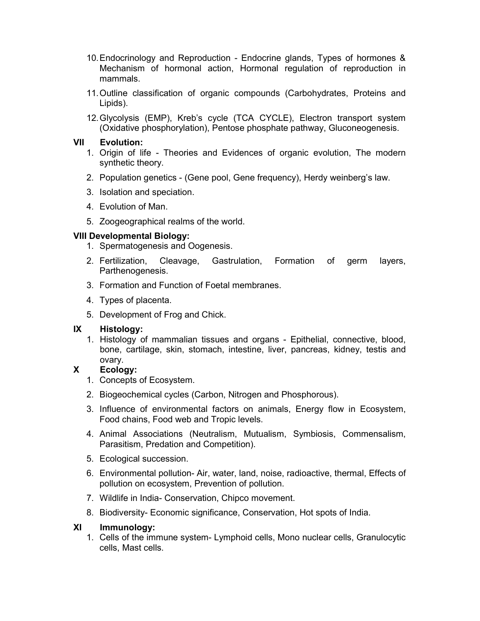- 10. Endocrinology and Reproduction Endocrine glands, Types of hormones & Mechanism of hormonal action, Hormonal regulation of reproduction in mammals.
- 11. Outline classification of organic compounds (Carbohydrates, Proteins and Lipids).
- 12. Glycolysis (EMP), Kreb's cycle (TCA CYCLE), Electron transport system (Oxidative phosphorylation), Pentose phosphate pathway, Gluconeogenesis.

## **VII Evolution:**

- 1. Origin of life Theories and Evidences of organic evolution, The modern synthetic theory.
- 2. Population genetics (Gene pool, Gene frequency), Herdy weinberg's law.
- 3. Isolation and speciation.
- 4. Evolution of Man.
- 5. Zoogeographical realms of the world.

## **VIII Developmental Biology:**

- 1. Spermatogenesis and Oogenesis.
- 2. Fertilization, Cleavage, Gastrulation, Formation of germ layers, Parthenogenesis.
- 3. Formation and Function of Foetal membranes.
- 4. Types of placenta.
- 5. Development of Frog and Chick.

## **IX Histology:**

1. Histology of mammalian tissues and organs - Epithelial, connective, blood, bone, cartilage, skin, stomach, intestine, liver, pancreas, kidney, testis and ovary.

## **X Ecology:**

- 1. Concepts of Ecosystem.
- 2. Biogeochemical cycles (Carbon, Nitrogen and Phosphorous).
- 3. Influence of environmental factors on animals, Energy flow in Ecosystem, Food chains, Food web and Tropic levels.
- 4. Animal Associations (Neutralism, Mutualism, Symbiosis, Commensalism, Parasitism, Predation and Competition).
- 5. Ecological succession.
- 6. Environmental pollution- Air, water, land, noise, radioactive, thermal, Effects of pollution on ecosystem, Prevention of pollution.
- 7. Wildlife in India- Conservation, Chipco movement.
- 8. Biodiversity- Economic significance, Conservation, Hot spots of India.

## **XI Immunology:**

1. Cells of the immune system- Lymphoid cells, Mono nuclear cells, Granulocytic cells, Mast cells.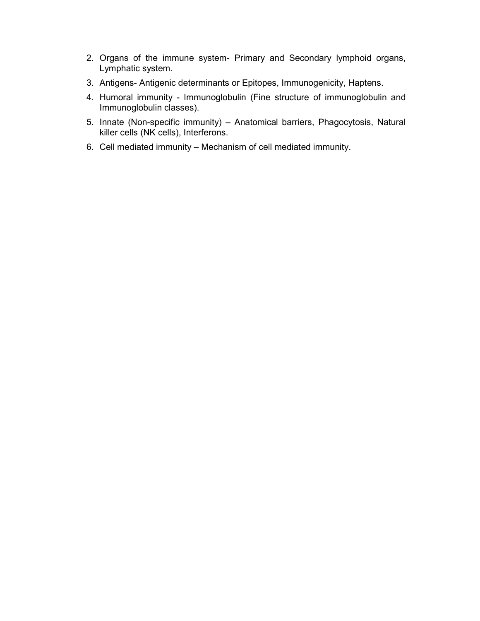- 2. Organs of the immune system- Primary and Secondary lymphoid organs, Lymphatic system.
- 3. Antigens- Antigenic determinants or Epitopes, Immunogenicity, Haptens.
- 4. Humoral immunity Immunoglobulin (Fine structure of immunoglobulin and Immunoglobulin classes).
- 5. Innate (Non-specific immunity) Anatomical barriers, Phagocytosis, Natural killer cells (NK cells), Interferons.
- 6. Cell mediated immunity Mechanism of cell mediated immunity.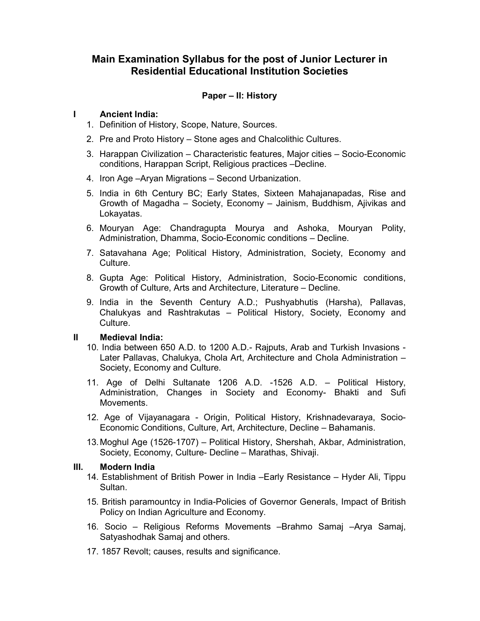### **Paper – II: History**

### **I Ancient India:**

- 1. Definition of History, Scope, Nature, Sources.
- 2. Pre and Proto History Stone ages and Chalcolithic Cultures.
- 3. Harappan Civilization Characteristic features, Major cities Socio-Economic conditions, Harappan Script, Religious practices –Decline.
- 4. Iron Age –Aryan Migrations Second Urbanization.
- 5. India in 6th Century BC; Early States, Sixteen Mahajanapadas, Rise and Growth of Magadha – Society, Economy – Jainism, Buddhism, Ajivikas and Lokayatas.
- 6. Mouryan Age: Chandragupta Mourya and Ashoka, Mouryan Polity, Administration, Dhamma, Socio-Economic conditions – Decline.
- 7. Satavahana Age; Political History, Administration, Society, Economy and Culture.
- 8. Gupta Age: Political History, Administration, Socio-Economic conditions, Growth of Culture, Arts and Architecture, Literature – Decline.
- 9. India in the Seventh Century A.D.; Pushyabhutis (Harsha), Pallavas, Chalukyas and Rashtrakutas – Political History, Society, Economy and Culture.

#### **II Medieval India:**

- 10. India between 650 A.D. to 1200 A.D.- Rajputs, Arab and Turkish Invasions Later Pallavas, Chalukya, Chola Art, Architecture and Chola Administration – Society, Economy and Culture.
- 11. Age of Delhi Sultanate 1206 A.D. -1526 A.D. Political History, Administration, Changes in Society and Economy- Bhakti and Sufi Movements.
- 12. Age of Vijayanagara Origin, Political History, Krishnadevaraya, Socio- Economic Conditions, Culture, Art, Architecture, Decline – Bahamanis.
- 13. Moghul Age (1526-1707) Political History, Shershah, Akbar, Administration, Society, Economy, Culture- Decline – Marathas, Shivaji.

#### **III. Modern India**

- 14. Establishment of British Power in India –Early Resistance Hyder Ali, Tippu Sultan.
- 15. British paramountcy in India-Policies of Governor Generals, Impact of British Policy on Indian Agriculture and Economy.
- 16. Socio Religious Reforms Movements –Brahmo Samaj –Arya Samaj, Satyashodhak Samaj and others.
- 17. 1857 Revolt; causes, results and significance.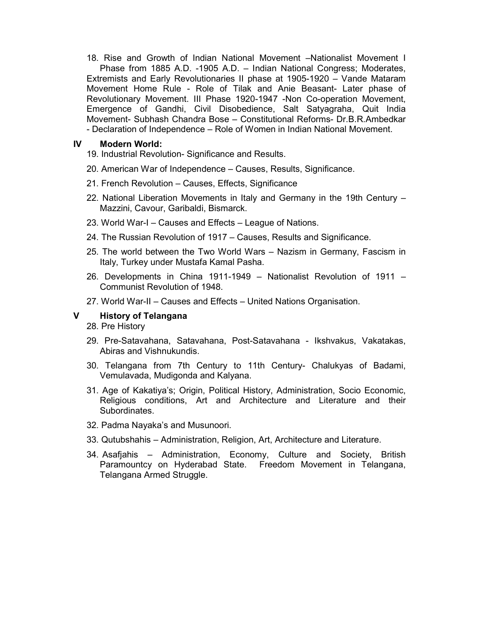18. Rise and Growth of Indian National Movement –Nationalist Movement I Phase from 1885 A.D. -1905 A.D. – Indian National Congress; Moderates, Extremists and Early Revolutionaries II phase at 1905-1920 – Vande Mataram Movement Home Rule - Role of Tilak and Anie Beasant- Later phase of Revolutionary Movement. III Phase 1920-1947 -Non Co-operation Movement, Emergence of Gandhi, Civil Disobedience, Salt Satyagraha, Quit India Movement- Subhash Chandra Bose – Constitutional Reforms- Dr.B.R.Ambedkar - Declaration of Independence – Role of Women in Indian National Movement.

#### **IV Modern World:**

- 19. Industrial Revolution- Significance and Results.
- 20. American War of Independence Causes, Results, Significance.
- 21. French Revolution Causes, Effects, Significance
- 22. National Liberation Movements in Italy and Germany in the 19th Century Mazzini, Cavour, Garibaldi, Bismarck.
- 23. World War-I Causes and Effects League of Nations.
- 24. The Russian Revolution of 1917 Causes, Results and Significance.
- 25. The world between the Two World Wars Nazism in Germany, Fascism in Italy, Turkey under Mustafa Kamal Pasha.
- 26. Developments in China 1911-1949 Nationalist Revolution of 1911 Communist Revolution of 1948.
- 27. World War-II Causes and Effects United Nations Organisation.

### **V History of Telangana**

- 28. Pre History
- 29. Pre-Satavahana, Satavahana, Post-Satavahana Ikshvakus, Vakatakas, Abiras and Vishnukundis.
- 30. Telangana from 7th Century to 11th Century- Chalukyas of Badami, Vemulavada, Mudigonda and Kalyana.
- 31. Age of Kakatiya's; Origin, Political History, Administration, Socio Economic, Religious conditions, Art and Architecture and Literature and their **Subordinates**
- 32. Padma Nayaka's and Musunoori.
- 33. Qutubshahis Administration, Religion, Art, Architecture and Literature.
- 34. Asafjahis Administration, Economy, Culture and Society, British Paramountcy on Hyderabad State. Freedom Movement in Telangana, Telangana Armed Struggle.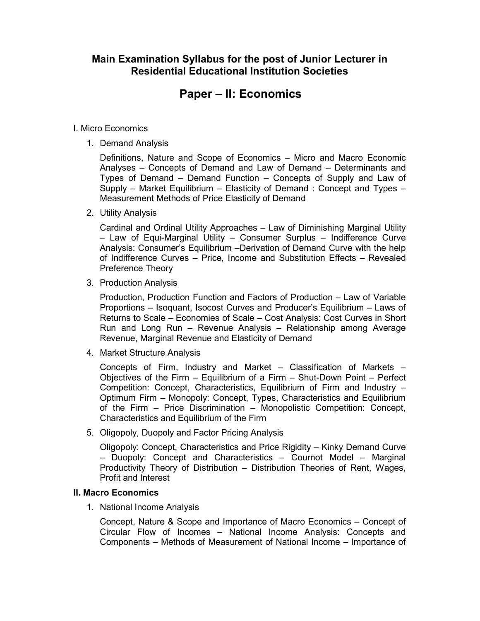# **Paper – II: Economics**

### I. Micro Economics

1. Demand Analysis

 Definitions, Nature and Scope of Economics – Micro and Macro Economic Analyses – Concepts of Demand and Law of Demand – Determinants and Types of Demand – Demand Function – Concepts of Supply and Law of Supply – Market Equilibrium – Elasticity of Demand : Concept and Types – Measurement Methods of Price Elasticity of Demand

2. Utility Analysis

 Cardinal and Ordinal Utility Approaches – Law of Diminishing Marginal Utility – Law of Equi-Marginal Utility – Consumer Surplus – Indifference Curve Analysis: Consumer's Equilibrium –Derivation of Demand Curve with the help of Indifference Curves – Price, Income and Substitution Effects – Revealed Preference Theory

3. Production Analysis

 Production, Production Function and Factors of Production – Law of Variable Proportions – Isoquant, Isocost Curves and Producer's Equilibrium – Laws of Returns to Scale – Economies of Scale – Cost Analysis: Cost Curves in Short Run and Long Run – Revenue Analysis – Relationship among Average Revenue, Marginal Revenue and Elasticity of Demand

4. Market Structure Analysis

 Concepts of Firm, Industry and Market – Classification of Markets – Objectives of the Firm – Equilibrium of a Firm – Shut-Down Point – Perfect Competition: Concept, Characteristics, Equilibrium of Firm and Industry – Optimum Firm – Monopoly: Concept, Types, Characteristics and Equilibrium of the Firm – Price Discrimination – Monopolistic Competition: Concept, Characteristics and Equilibrium of the Firm

5. Oligopoly, Duopoly and Factor Pricing Analysis

 Oligopoly: Concept, Characteristics and Price Rigidity – Kinky Demand Curve – Duopoly: Concept and Characteristics – Cournot Model – Marginal Productivity Theory of Distribution – Distribution Theories of Rent, Wages, Profit and Interest

### **II. Macro Economics**

1. National Income Analysis

 Concept, Nature & Scope and Importance of Macro Economics – Concept of Circular Flow of Incomes – National Income Analysis: Concepts and Components – Methods of Measurement of National Income – Importance of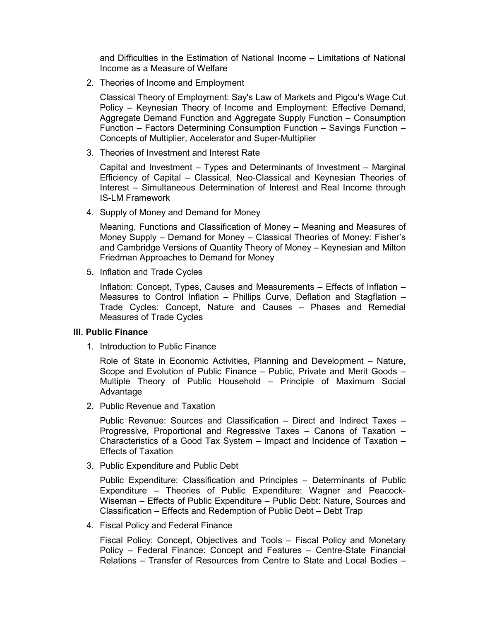and Difficulties in the Estimation of National Income – Limitations of National Income as a Measure of Welfare

2. Theories of Income and Employment

 Classical Theory of Employment: Say's Law of Markets and Pigou's Wage Cut Policy – Keynesian Theory of Income and Employment: Effective Demand, Aggregate Demand Function and Aggregate Supply Function – Consumption Function – Factors Determining Consumption Function – Savings Function – Concepts of Multiplier, Accelerator and Super-Multiplier

3. Theories of Investment and Interest Rate

 Capital and Investment – Types and Determinants of Investment – Marginal Efficiency of Capital – Classical, Neo-Classical and Keynesian Theories of Interest – Simultaneous Determination of Interest and Real Income through IS-LM Framework

4. Supply of Money and Demand for Money

 Meaning, Functions and Classification of Money – Meaning and Measures of Money Supply – Demand for Money – Classical Theories of Money: Fisher's and Cambridge Versions of Quantity Theory of Money – Keynesian and Milton Friedman Approaches to Demand for Money

5. Inflation and Trade Cycles

 Inflation: Concept, Types, Causes and Measurements – Effects of Inflation – Measures to Control Inflation – Phillips Curve, Deflation and Stagflation – Trade Cycles: Concept, Nature and Causes – Phases and Remedial Measures of Trade Cycles

### **III. Public Finance**

1. Introduction to Public Finance

 Role of State in Economic Activities, Planning and Development – Nature, Scope and Evolution of Public Finance – Public, Private and Merit Goods – Multiple Theory of Public Household – Principle of Maximum Social Advantage

2. Public Revenue and Taxation

 Public Revenue: Sources and Classification – Direct and Indirect Taxes – Progressive, Proportional and Regressive Taxes – Canons of Taxation – Characteristics of a Good Tax System – Impact and Incidence of Taxation – Effects of Taxation

3. Public Expenditure and Public Debt

 Public Expenditure: Classification and Principles – Determinants of Public Expenditure – Theories of Public Expenditure: Wagner and Peacock-Wiseman – Effects of Public Expenditure – Public Debt: Nature, Sources and Classification – Effects and Redemption of Public Debt – Debt Trap

4. Fiscal Policy and Federal Finance

 Fiscal Policy: Concept, Objectives and Tools – Fiscal Policy and Monetary Policy – Federal Finance: Concept and Features – Centre-State Financial Relations – Transfer of Resources from Centre to State and Local Bodies –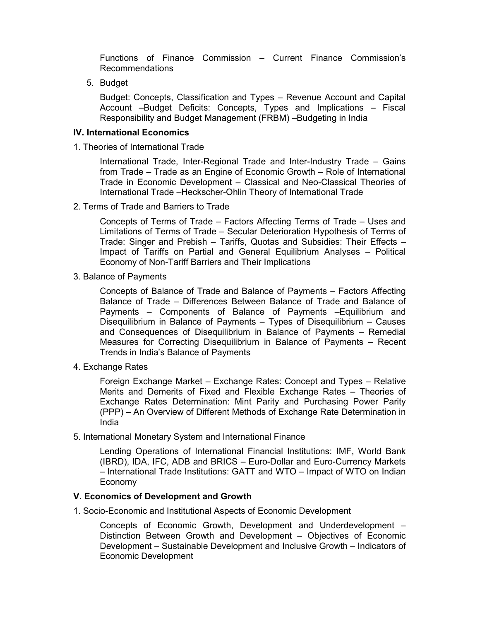Functions of Finance Commission – Current Finance Commission's Recommendations

5. Budget

 Budget: Concepts, Classification and Types – Revenue Account and Capital Account –Budget Deficits: Concepts, Types and Implications – Fiscal Responsibility and Budget Management (FRBM) –Budgeting in India

#### **IV. International Economics**

1. Theories of International Trade

 International Trade, Inter-Regional Trade and Inter-Industry Trade – Gains from Trade – Trade as an Engine of Economic Growth – Role of International Trade in Economic Development – Classical and Neo-Classical Theories of International Trade –Heckscher-Ohlin Theory of International Trade

2. Terms of Trade and Barriers to Trade

 Concepts of Terms of Trade – Factors Affecting Terms of Trade – Uses and Limitations of Terms of Trade – Secular Deterioration Hypothesis of Terms of Trade: Singer and Prebish – Tariffs, Quotas and Subsidies: Their Effects – Impact of Tariffs on Partial and General Equilibrium Analyses – Political Economy of Non-Tariff Barriers and Their Implications

3. Balance of Payments

 Concepts of Balance of Trade and Balance of Payments – Factors Affecting Balance of Trade – Differences Between Balance of Trade and Balance of Payments – Components of Balance of Payments –Equilibrium and Disequilibrium in Balance of Payments – Types of Disequilibrium – Causes and Consequences of Disequilibrium in Balance of Payments – Remedial Measures for Correcting Disequilibrium in Balance of Payments – Recent Trends in India's Balance of Payments

4. Exchange Rates

 Foreign Exchange Market – Exchange Rates: Concept and Types – Relative Merits and Demerits of Fixed and Flexible Exchange Rates – Theories of Exchange Rates Determination: Mint Parity and Purchasing Power Parity (PPP) – An Overview of Different Methods of Exchange Rate Determination in India

5. International Monetary System and International Finance

 Lending Operations of International Financial Institutions: IMF, World Bank (IBRD), IDA, IFC, ADB and BRICS – Euro-Dollar and Euro-Currency Markets – International Trade Institutions: GATT and WTO – Impact of WTO on Indian Economy

#### **V. Economics of Development and Growth**

1. Socio-Economic and Institutional Aspects of Economic Development

 Concepts of Economic Growth, Development and Underdevelopment – Distinction Between Growth and Development – Objectives of Economic Development – Sustainable Development and Inclusive Growth – Indicators of Economic Development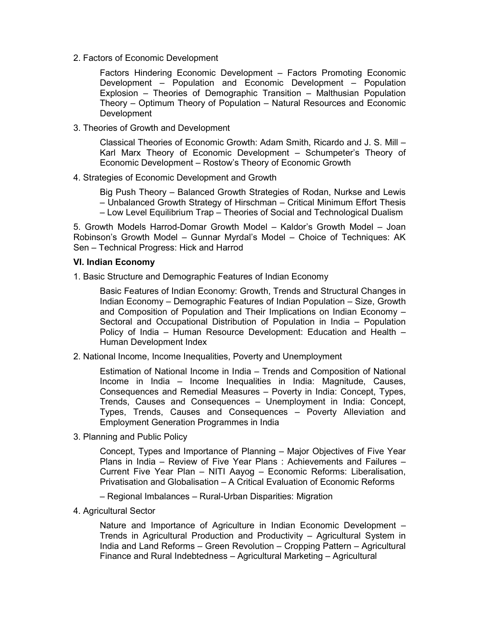2. Factors of Economic Development

 Factors Hindering Economic Development – Factors Promoting Economic Development – Population and Economic Development – Population Explosion – Theories of Demographic Transition – Malthusian Population Theory – Optimum Theory of Population – Natural Resources and Economic Development

3. Theories of Growth and Development

 Classical Theories of Economic Growth: Adam Smith, Ricardo and J. S. Mill – Karl Marx Theory of Economic Development – Schumpeter's Theory of Economic Development – Rostow's Theory of Economic Growth

4. Strategies of Economic Development and Growth

Big Push Theory – Balanced Growth Strategies of Rodan, Nurkse and Lewis

– Unbalanced Growth Strategy of Hirschman – Critical Minimum Effort Thesis – Low Level Equilibrium Trap – Theories of Social and Technological Dualism

5. Growth Models Harrod-Domar Growth Model – Kaldor's Growth Model – Joan Robinson's Growth Model – Gunnar Myrdal's Model – Choice of Techniques: AK Sen – Technical Progress: Hick and Harrod

#### **VI. Indian Economy**

1. Basic Structure and Demographic Features of Indian Economy

 Basic Features of Indian Economy: Growth, Trends and Structural Changes in Indian Economy – Demographic Features of Indian Population – Size, Growth and Composition of Population and Their Implications on Indian Economy – Sectoral and Occupational Distribution of Population in India – Population Policy of India – Human Resource Development: Education and Health – Human Development Index

2. National Income, Income Inequalities, Poverty and Unemployment

 Estimation of National Income in India – Trends and Composition of National Income in India – Income Inequalities in India: Magnitude, Causes, Consequences and Remedial Measures – Poverty in India: Concept, Types, Trends, Causes and Consequences – Unemployment in India: Concept, Types, Trends, Causes and Consequences – Poverty Alleviation and Employment Generation Programmes in India

3. Planning and Public Policy

 Concept, Types and Importance of Planning – Major Objectives of Five Year Plans in India – Review of Five Year Plans : Achievements and Failures – Current Five Year Plan – NITI Aayog – Economic Reforms: Liberalisation, Privatisation and Globalisation – A Critical Evaluation of Economic Reforms

- Regional Imbalances Rural-Urban Disparities: Migration
- 4. Agricultural Sector

 Nature and Importance of Agriculture in Indian Economic Development – Trends in Agricultural Production and Productivity – Agricultural System in India and Land Reforms – Green Revolution – Cropping Pattern – Agricultural Finance and Rural Indebtedness – Agricultural Marketing – Agricultural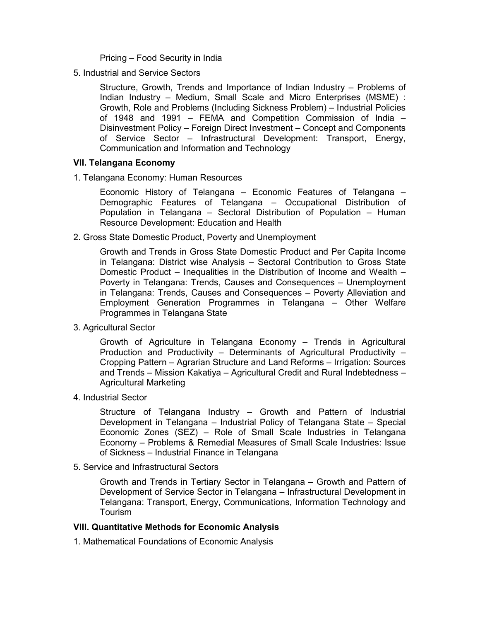Pricing – Food Security in India

5. Industrial and Service Sectors

 Structure, Growth, Trends and Importance of Indian Industry – Problems of Indian Industry – Medium, Small Scale and Micro Enterprises (MSME) : Growth, Role and Problems (Including Sickness Problem) – Industrial Policies of 1948 and 1991 – FEMA and Competition Commission of India – Disinvestment Policy – Foreign Direct Investment – Concept and Components of Service Sector – Infrastructural Development: Transport, Energy, Communication and Information and Technology

#### **VII. Telangana Economy**

1. Telangana Economy: Human Resources

 Economic History of Telangana – Economic Features of Telangana – Demographic Features of Telangana – Occupational Distribution of Population in Telangana – Sectoral Distribution of Population – Human Resource Development: Education and Health

2. Gross State Domestic Product, Poverty and Unemployment

 Growth and Trends in Gross State Domestic Product and Per Capita Income in Telangana: District wise Analysis – Sectoral Contribution to Gross State Domestic Product – Inequalities in the Distribution of Income and Wealth – Poverty in Telangana: Trends, Causes and Consequences – Unemployment in Telangana: Trends, Causes and Consequences – Poverty Alleviation and Employment Generation Programmes in Telangana – Other Welfare Programmes in Telangana State

3. Agricultural Sector

 Growth of Agriculture in Telangana Economy – Trends in Agricultural Production and Productivity – Determinants of Agricultural Productivity – Cropping Pattern – Agrarian Structure and Land Reforms – Irrigation: Sources and Trends – Mission Kakatiya – Agricultural Credit and Rural Indebtedness – Agricultural Marketing

4. Industrial Sector

 Structure of Telangana Industry – Growth and Pattern of Industrial Development in Telangana – Industrial Policy of Telangana State – Special Economic Zones (SEZ) – Role of Small Scale Industries in Telangana Economy – Problems & Remedial Measures of Small Scale Industries: Issue of Sickness – Industrial Finance in Telangana

5. Service and Infrastructural Sectors

 Growth and Trends in Tertiary Sector in Telangana – Growth and Pattern of Development of Service Sector in Telangana – Infrastructural Development in Telangana: Transport, Energy, Communications, Information Technology and Tourism

## **VIII. Quantitative Methods for Economic Analysis**

1. Mathematical Foundations of Economic Analysis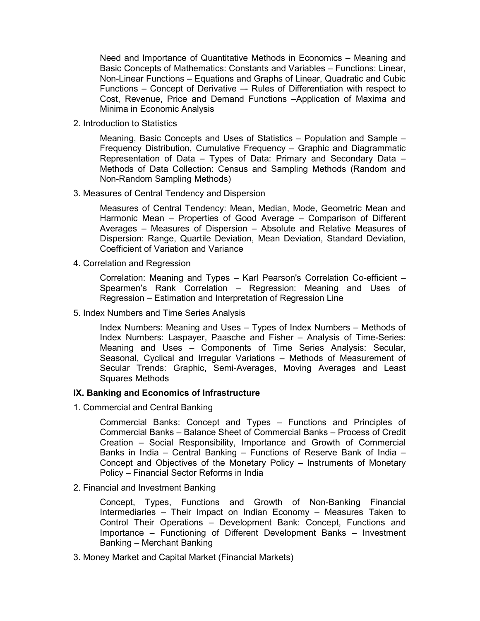Need and Importance of Quantitative Methods in Economics – Meaning and Basic Concepts of Mathematics: Constants and Variables – Functions: Linear, Non-Linear Functions – Equations and Graphs of Linear, Quadratic and Cubic Functions – Concept of Derivative – Rules of Differentiation with respect to Cost, Revenue, Price and Demand Functions –Application of Maxima and Minima in Economic Analysis

2. Introduction to Statistics

 Meaning, Basic Concepts and Uses of Statistics – Population and Sample – Frequency Distribution, Cumulative Frequency – Graphic and Diagrammatic Representation of Data – Types of Data: Primary and Secondary Data – Methods of Data Collection: Census and Sampling Methods (Random and Non-Random Sampling Methods)

3. Measures of Central Tendency and Dispersion

 Measures of Central Tendency: Mean, Median, Mode, Geometric Mean and Harmonic Mean – Properties of Good Average – Comparison of Different Averages – Measures of Dispersion – Absolute and Relative Measures of Dispersion: Range, Quartile Deviation, Mean Deviation, Standard Deviation, Coefficient of Variation and Variance

4. Correlation and Regression

 Correlation: Meaning and Types – Karl Pearson's Correlation Co-efficient – Spearmen's Rank Correlation – Regression: Meaning and Uses of Regression – Estimation and Interpretation of Regression Line

5. Index Numbers and Time Series Analysis

 Index Numbers: Meaning and Uses – Types of Index Numbers – Methods of Index Numbers: Laspayer, Paasche and Fisher – Analysis of Time-Series: Meaning and Uses – Components of Time Series Analysis: Secular, Seasonal, Cyclical and Irregular Variations – Methods of Measurement of Secular Trends: Graphic, Semi-Averages, Moving Averages and Least Squares Methods

### **IX. Banking and Economics of Infrastructure**

1. Commercial and Central Banking

 Commercial Banks: Concept and Types – Functions and Principles of Commercial Banks – Balance Sheet of Commercial Banks – Process of Credit Creation – Social Responsibility, Importance and Growth of Commercial Banks in India – Central Banking – Functions of Reserve Bank of India – Concept and Objectives of the Monetary Policy – Instruments of Monetary Policy – Financial Sector Reforms in India

2. Financial and Investment Banking

 Concept, Types, Functions and Growth of Non-Banking Financial Intermediaries – Their Impact on Indian Economy – Measures Taken to Control Their Operations – Development Bank: Concept, Functions and Importance – Functioning of Different Development Banks – Investment Banking – Merchant Banking

3. Money Market and Capital Market (Financial Markets)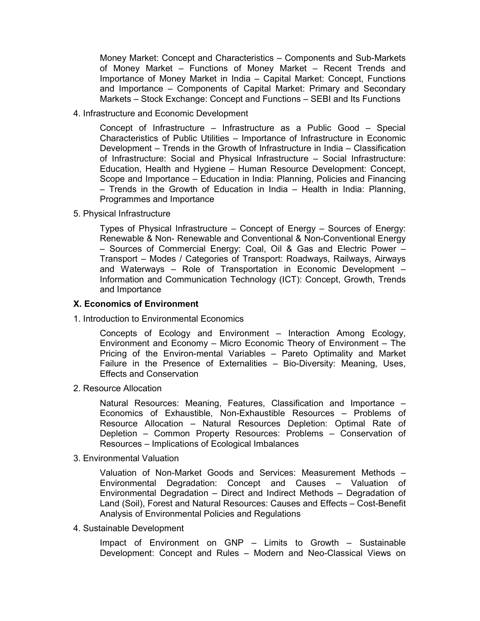Money Market: Concept and Characteristics – Components and Sub-Markets of Money Market – Functions of Money Market – Recent Trends and Importance of Money Market in India – Capital Market: Concept, Functions and Importance – Components of Capital Market: Primary and Secondary Markets – Stock Exchange: Concept and Functions – SEBI and Its Functions

4. Infrastructure and Economic Development

 Concept of Infrastructure – Infrastructure as a Public Good – Special Characteristics of Public Utilities – Importance of Infrastructure in Economic Development – Trends in the Growth of Infrastructure in India – Classification of Infrastructure: Social and Physical Infrastructure – Social Infrastructure: Education, Health and Hygiene – Human Resource Development: Concept, Scope and Importance – Education in India: Planning, Policies and Financing – Trends in the Growth of Education in India – Health in India: Planning, Programmes and Importance

5. Physical Infrastructure

 Types of Physical Infrastructure – Concept of Energy – Sources of Energy: Renewable & Non- Renewable and Conventional & Non-Conventional Energy – Sources of Commercial Energy: Coal, Oil & Gas and Electric Power – Transport – Modes / Categories of Transport: Roadways, Railways, Airways and Waterways – Role of Transportation in Economic Development – Information and Communication Technology (ICT): Concept, Growth, Trends and Importance

#### **X. Economics of Environment**

1. Introduction to Environmental Economics

 Concepts of Ecology and Environment – Interaction Among Ecology, Environment and Economy – Micro Economic Theory of Environment – The Pricing of the Environ-mental Variables – Pareto Optimality and Market Failure in the Presence of Externalities – Bio-Diversity: Meaning, Uses, Effects and Conservation

2. Resource Allocation

 Natural Resources: Meaning, Features, Classification and Importance – Economics of Exhaustible, Non-Exhaustible Resources – Problems of Resource Allocation – Natural Resources Depletion: Optimal Rate of Depletion – Common Property Resources: Problems – Conservation of Resources – Implications of Ecological Imbalances

3. Environmental Valuation

 Valuation of Non-Market Goods and Services: Measurement Methods – Environmental Degradation: Concept and Causes – Valuation of Environmental Degradation – Direct and Indirect Methods – Degradation of Land (Soil), Forest and Natural Resources: Causes and Effects – Cost-Benefit Analysis of Environmental Policies and Regulations

4. Sustainable Development

 Impact of Environment on GNP – Limits to Growth – Sustainable Development: Concept and Rules – Modern and Neo-Classical Views on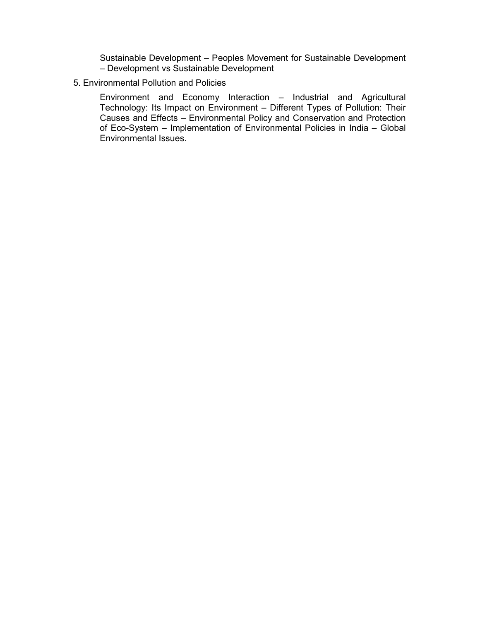Sustainable Development – Peoples Movement for Sustainable Development – Development vs Sustainable Development

## 5. Environmental Pollution and Policies

 Environment and Economy Interaction – Industrial and Agricultural Technology: Its Impact on Environment – Different Types of Pollution: Their Causes and Effects – Environmental Policy and Conservation and Protection of Eco-System – Implementation of Environmental Policies in India – Global Environmental Issues.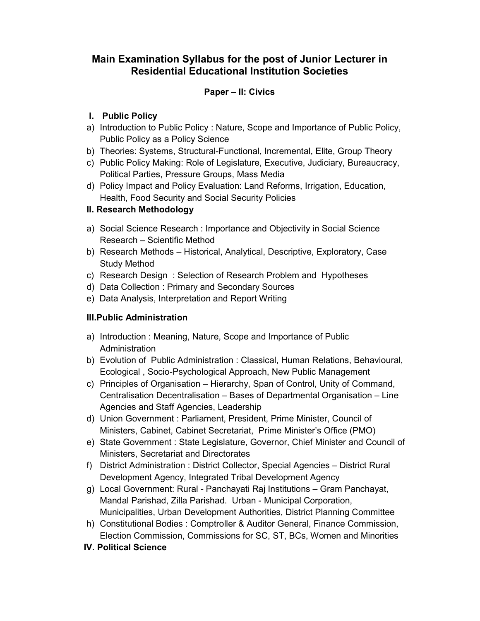## **Paper – II: Civics**

## **I. Public Policy**

- a) Introduction to Public Policy : Nature, Scope and Importance of Public Policy, Public Policy as a Policy Science
- b) Theories: Systems, Structural-Functional, Incremental, Elite, Group Theory
- c) Public Policy Making: Role of Legislature, Executive, Judiciary, Bureaucracy, Political Parties, Pressure Groups, Mass Media
- d) Policy Impact and Policy Evaluation: Land Reforms, Irrigation, Education, Health, Food Security and Social Security Policies

## **II. Research Methodology**

- a) Social Science Research : Importance and Objectivity in Social Science Research – Scientific Method
- b) Research Methods Historical, Analytical, Descriptive, Exploratory, Case Study Method
- c) Research Design : Selection of Research Problem and Hypotheses
- d) Data Collection : Primary and Secondary Sources
- e) Data Analysis, Interpretation and Report Writing

## **III.Public Administration**

- a) Introduction : Meaning, Nature, Scope and Importance of Public Administration
- b) Evolution of Public Administration : Classical, Human Relations, Behavioural, Ecological , Socio-Psychological Approach, New Public Management
- c) Principles of Organisation Hierarchy, Span of Control, Unity of Command, Centralisation Decentralisation – Bases of Departmental Organisation – Line Agencies and Staff Agencies, Leadership
- d) Union Government : Parliament, President, Prime Minister, Council of Ministers, Cabinet, Cabinet Secretariat, Prime Minister's Office (PMO)
- e) State Government : State Legislature, Governor, Chief Minister and Council of Ministers, Secretariat and Directorates
- f) District Administration : District Collector, Special Agencies District Rural Development Agency, Integrated Tribal Development Agency
- g) Local Government: Rural Panchayati Raj Institutions Gram Panchayat, Mandal Parishad, Zilla Parishad. Urban - Municipal Corporation, Municipalities, Urban Development Authorities, District Planning Committee
- h) Constitutional Bodies : Comptroller & Auditor General, Finance Commission, Election Commission, Commissions for SC, ST, BCs, Women and Minorities
- **IV. Political Science**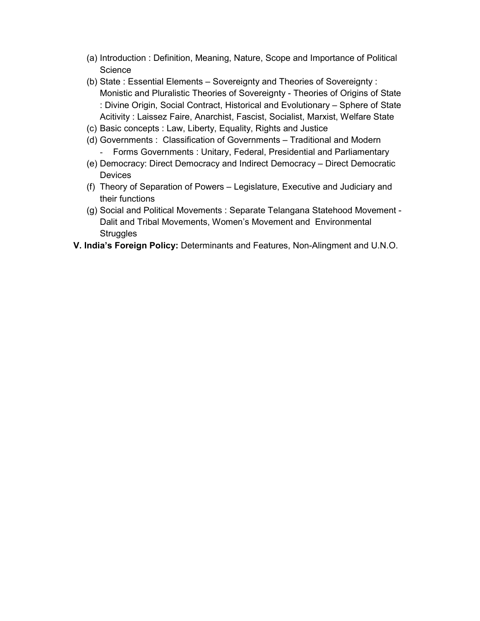- (a) Introduction : Definition, Meaning, Nature, Scope and Importance of Political **Science**
- (b) State : Essential Elements Sovereignty and Theories of Sovereignty : Monistic and Pluralistic Theories of Sovereignty - Theories of Origins of State : Divine Origin, Social Contract, Historical and Evolutionary – Sphere of State Acitivity : Laissez Faire, Anarchist, Fascist, Socialist, Marxist, Welfare State
- (c) Basic concepts : Law, Liberty, Equality, Rights and Justice
- (d) Governments : Classification of Governments Traditional and Modern - Forms Governments : Unitary, Federal, Presidential and Parliamentary
- (e) Democracy: Direct Democracy and Indirect Democracy Direct Democratic Devices
- (f) Theory of Separation of Powers Legislature, Executive and Judiciary and their functions
- (g) Social and Political Movements : Separate Telangana Statehood Movement Dalit and Tribal Movements, Women's Movement and Environmental **Struggles**
- **V. India's Foreign Policy:** Determinants and Features, Non-Alingment and U.N.O.